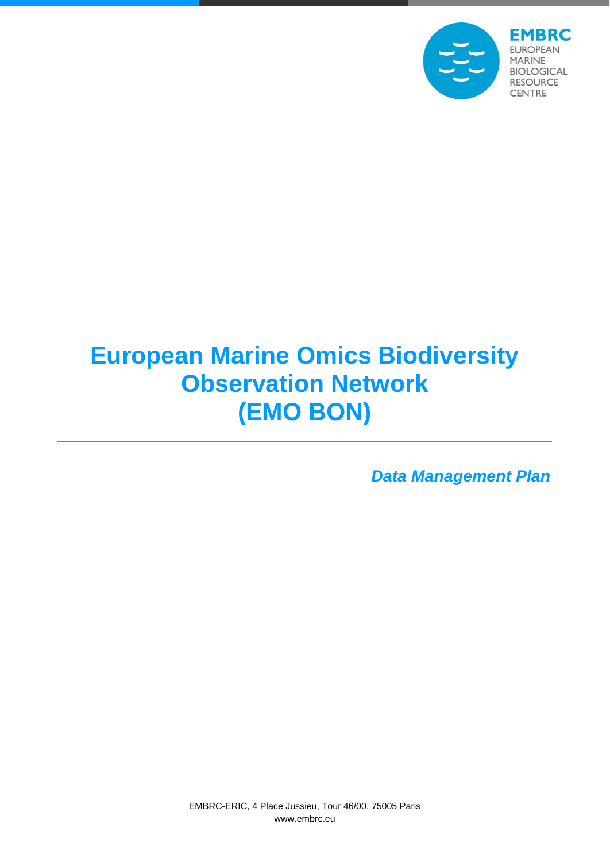

# **European Marine Omics Biodiversity Observation Network (EMO BON)**

*Data Management Plan*

EMBRC-ERIC, 4 Place Jussieu, Tour 46/00, 75005 Paris www.embrc.eu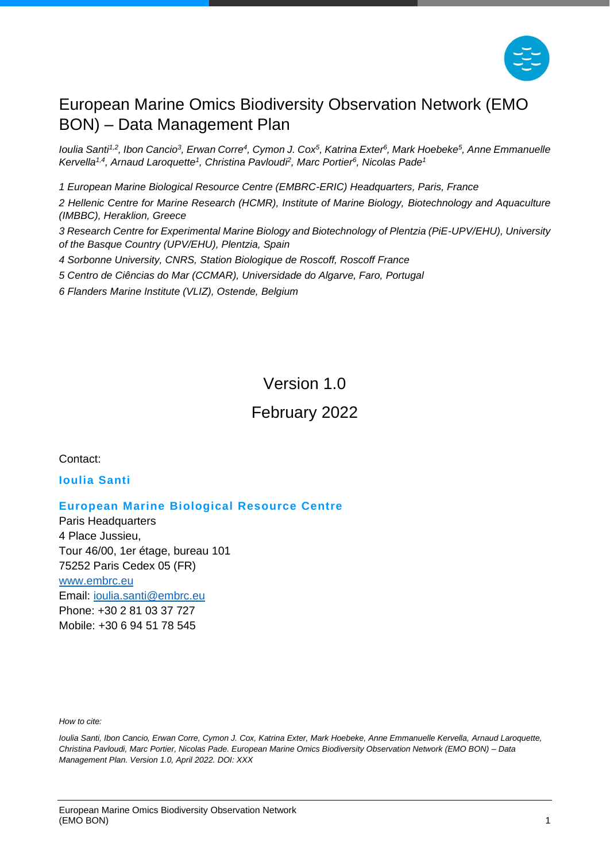

### European Marine Omics Biodiversity Observation Network (EMO BON) – Data Management Plan

*Ioulia Santi1,2 , Ibon Cancio<sup>3</sup> , Erwan Corre<sup>4</sup> , Cymon J. Cox<sup>5</sup> , Katrina Exter<sup>6</sup> , Mark Hoebeke<sup>5</sup> , Anne Emmanuelle Kervella1,4 , Arnaud Laroquette<sup>1</sup> , Christina Pavloudi<sup>2</sup> , Marc Portier 6 , Nicolas Pade<sup>1</sup>*

*1 European Marine Biological Resource Centre (EMBRC-ERIC) Headquarters, Paris, France 2 Hellenic Centre for Marine Research (HCMR), Institute of Marine Biology, Biotechnology and Aquaculture (IMBBC), Heraklion, Greece*

*3 Research Centre for Experimental Marine Biology and Biotechnology of Plentzia (PiE-UPV/EHU), University of the Basque Country (UPV/EHU), Plentzia, Spain* 

*4 Sorbonne University, CNRS, Station Biologique de Roscoff, Roscoff France*

*5 Centro de Ciências do Mar (CCMAR), Universidade do Algarve, Faro, Portugal*

*6 Flanders Marine Institute (VLIZ), Ostende, Belgium*

### Version 1.0

#### February 2022

Contact:

#### **Ioulia Santi**

#### **European Marine Biological Resource Centre**

Paris Headquarters 4 Place Jussieu, Tour 46/00, 1er étage, bureau 101 75252 Paris Cedex 05 (FR)

[www.embrc.eu](http://www.embrc.eu/) Email: [ioulia.santi@embrc.eu](mailto:ioulia.santi@embrc.eu) Phone: +30 2 81 03 37 727 Mobile: +30 6 94 51 78 545

*How to cite:*

*Ioulia Santi, Ibon Cancio, Erwan Corre, Cymon J. Cox, Katrina Exter, Mark Hoebeke, Anne Emmanuelle Kervella, Arnaud Laroquette, Christina Pavloudi, Marc Portier, Nicolas Pade. European Marine Omics Biodiversity Observation Network (EMO BON) – Data Management Plan. Version 1.0, April 2022. DOI: XXX*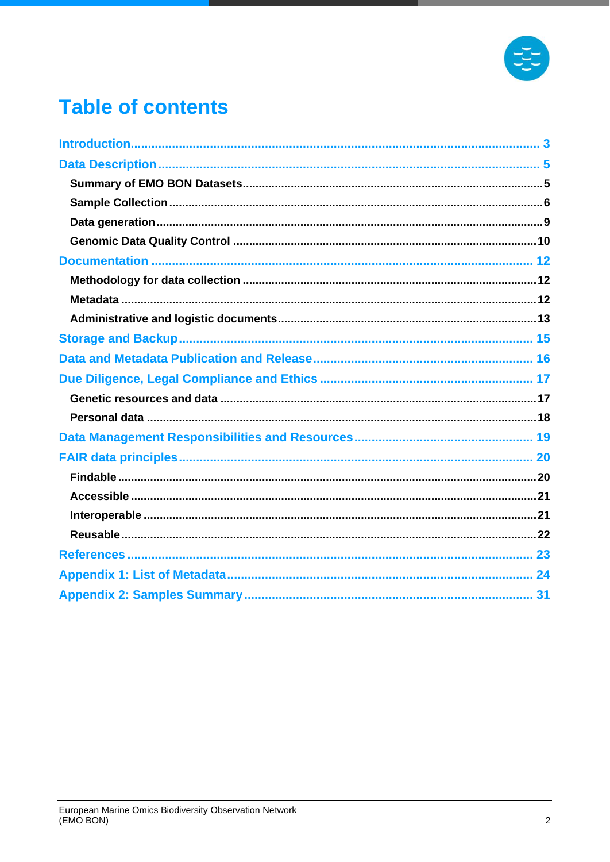

### **Table of contents**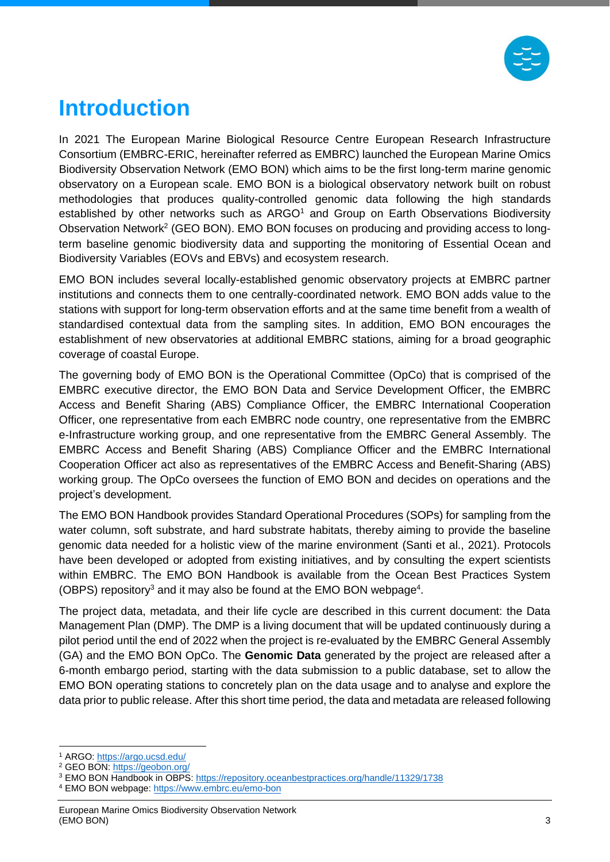

# <span id="page-3-0"></span>**Introduction**

In 2021 The European Marine Biological Resource Centre European Research Infrastructure Consortium (EMBRC-ERIC, hereinafter referred as EMBRC) launched the European Marine Omics Biodiversity Observation Network (EMO BON) which aims to be the first long-term marine genomic observatory on a European scale. EMO BON is a biological observatory network built on robust methodologies that produces quality-controlled genomic data following the high standards established by other networks such as  $ARGO<sup>1</sup>$  and Group on Earth Observations Biodiversity Observation Network<sup>2</sup> (GEO BON). EMO BON focuses on producing and providing access to longterm baseline genomic biodiversity data and supporting the monitoring of Essential Ocean and Biodiversity Variables (EOVs and EBVs) and ecosystem research.

EMO BON includes several locally-established genomic observatory projects at EMBRC partner institutions and connects them to one centrally-coordinated network. EMO BON adds value to the stations with support for long-term observation efforts and at the same time benefit from a wealth of standardised contextual data from the sampling sites. In addition, EMO BON encourages the establishment of new observatories at additional EMBRC stations, aiming for a broad geographic coverage of coastal Europe.

The governing body of EMO BON is the Operational Committee (OpCo) that is comprised of the EMBRC executive director, the EMO BON Data and Service Development Officer, the EMBRC Access and Benefit Sharing (ABS) Compliance Officer, the EMBRC International Cooperation Officer, one representative from each EMBRC node country, one representative from the EMBRC e-Infrastructure working group, and one representative from the EMBRC General Assembly. The EMBRC Access and Benefit Sharing (ABS) Compliance Officer and the EMBRC International Cooperation Officer act also as representatives of the EMBRC Access and Benefit-Sharing (ABS) working group. The OpCo oversees the function of EMO BON and decides on operations and the project's development.

The EMO BON Handbook provides Standard Operational Procedures (SOPs) for sampling from the water column, soft substrate, and hard substrate habitats, thereby aiming to provide the baseline genomic data needed for a holistic view of the marine environment (Santi et al., 2021). Protocols have been developed or adopted from existing initiatives, and by consulting the expert scientists within EMBRC. The EMO BON Handbook is available from the Ocean Best Practices System (OBPS) repository<sup>3</sup> and it may also be found at the EMO BON webpage<sup>4</sup>.

The project data, metadata, and their life cycle are described in this current document: the Data Management Plan (DMP). The DMP is a living document that will be updated continuously during a pilot period until the end of 2022 when the project is re-evaluated by the EMBRC General Assembly (GA) and the EMO BON OpCo. The **Genomic Data** generated by the project are released after a 6-month embargo period, starting with the data submission to a public database, set to allow the EMO BON operating stations to concretely plan on the data usage and to analyse and explore the data prior to public release. After this short time period, the data and metadata are released following

<sup>1</sup> ARGO:<https://argo.ucsd.edu/>

<sup>2</sup> GEO BON:<https://geobon.org/>

<sup>&</sup>lt;sup>3</sup> EMO BON Handbook in OBPS: <https://repository.oceanbestpractices.org/handle/11329/1738>

<sup>4</sup> EMO BON webpage:<https://www.embrc.eu/emo-bon>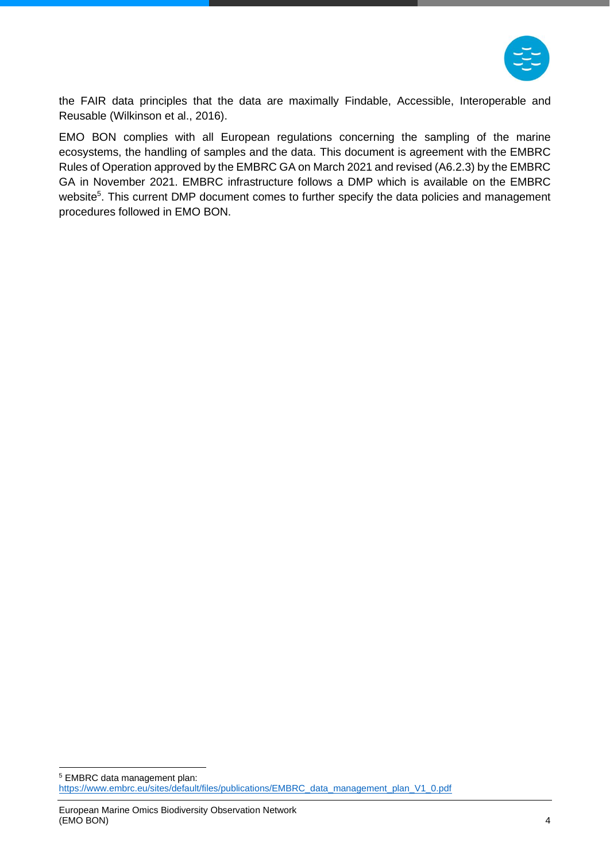

the FAIR data principles that the data are maximally Findable, Accessible, Interoperable and Reusable (Wilkinson et al., 2016).

EMO BON complies with all European regulations concerning the sampling of the marine ecosystems, the handling of samples and the data. This document is agreement with the EMBRC Rules of Operation approved by the EMBRC GA on March 2021 and revised (A6.2.3) by the EMBRC GA in November 2021. EMBRC infrastructure follows a DMP which is available on the EMBRC website<sup>5</sup>. This current DMP document comes to further specify the data policies and management procedures followed in EMO BON.

<sup>5</sup> EMBRC data management plan: [https://www.embrc.eu/sites/default/files/publications/EMBRC\\_data\\_management\\_plan\\_V1\\_0.pdf](https://www.embrc.eu/sites/default/files/publications/EMBRC_data_management_plan_V1_0.pdf)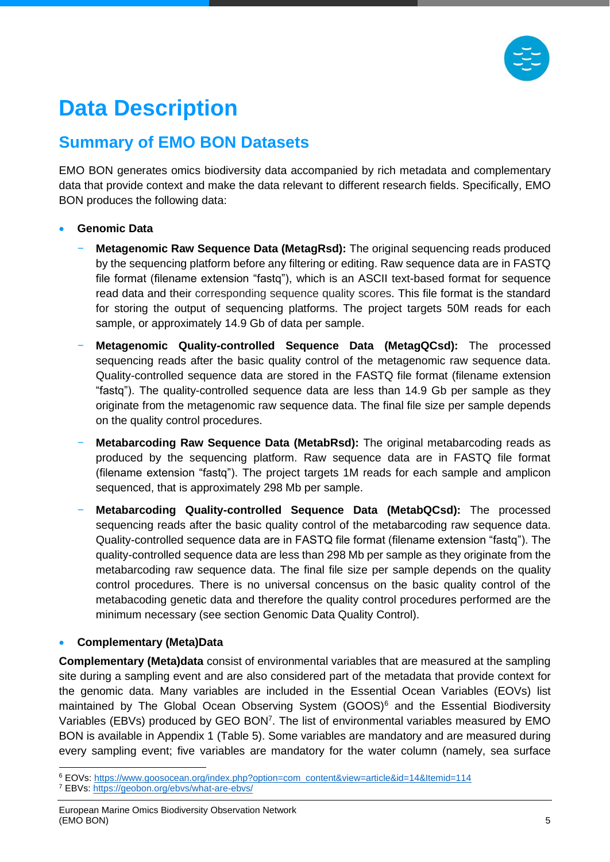

# <span id="page-5-0"></span>**Data Description**

### <span id="page-5-1"></span>**Summary of EMO BON Datasets**

EMO BON generates omics biodiversity data accompanied by rich metadata and complementary data that provide context and make the data relevant to different research fields. Specifically, EMO BON produces the following data:

- **Genomic Data**
	- − **Metagenomic Raw Sequence Data (MetagRsd):** The original sequencing reads produced by the sequencing platform before any filtering or editing. Raw sequence data are in FASTQ file format (filename extension "fastq"), which is an ASCII text-based format for sequence read data and their corresponding sequence quality scores. This file format is the standard for storing the output of sequencing platforms. The project targets 50M reads for each sample, or approximately 14.9 Gb of data per sample.
	- − **Metagenomic Quality-controlled Sequence Data (MetagQCsd):** The processed sequencing reads after the basic quality control of the metagenomic raw sequence data. Quality-controlled sequence data are stored in the FASTQ file format (filename extension "fastq"). The quality-controlled sequence data are less than 14.9 Gb per sample as they originate from the metagenomic raw sequence data. The final file size per sample depends on the quality control procedures.
	- − **Metabarcoding Raw Sequence Data (MetabRsd):** The original metabarcoding reads as produced by the sequencing platform. Raw sequence data are in FASTQ file format (filename extension "fastq"). The project targets 1M reads for each sample and amplicon sequenced, that is approximately 298 Mb per sample.
	- − **Metabarcoding Quality-controlled Sequence Data (MetabQCsd):** The processed sequencing reads after the basic quality control of the metabarcoding raw sequence data. Quality-controlled sequence data are in FASTQ file format (filename extension "fastq"). The quality-controlled sequence data are less than 298 Mb per sample as they originate from the metabarcoding raw sequence data. The final file size per sample depends on the quality control procedures. There is no universal concensus on the basic quality control of the metabacoding genetic data and therefore the quality control procedures performed are the minimum necessary (see section Genomic Data [Quality Control\)](#page-10-0).

#### • **Complementary (Meta)Data**

**Complementary (Meta)data** consist of environmental variables that are measured at the sampling site during a sampling event and are also considered part of the metadata that provide context for the genomic data. Many variables are included in the Essential Ocean Variables (EOVs) list maintained by The Global Ocean Observing System  $(GOOS)^6$  and the Essential Biodiversity Variables (EBVs) produced by GEO BON<sup>7</sup>. The list of environmental variables measured by EMO BON is available in [Appendix 1](#page-24-0) [\(Table 5\)](#page-26-0). Some variables are mandatory and are measured during every sampling event; five variables are mandatory for the water column (namely, sea surface

<sup>6</sup> EOVs: [https://www.goosocean.org/index.php?option=com\\_content&view=article&id=14&Itemid=114](https://www.goosocean.org/index.php?option=com_content&view=article&id=14&Itemid=114)

<sup>7</sup> EBVs:<https://geobon.org/ebvs/what-are-ebvs/>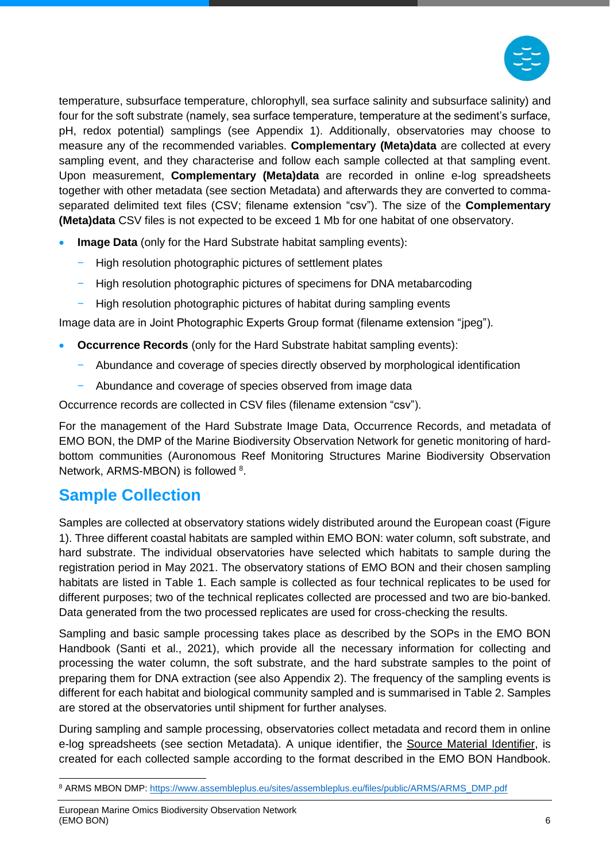

temperature, subsurface temperature, chlorophyll, sea surface salinity and subsurface salinity) and four for the soft substrate (namely, sea surface temperature, temperature at the sediment's surface, pH, redox potential) samplings (see [Appendix 1\)](#page-24-0). Additionally, observatories may choose to measure any of the recommended variables. **Complementary (Meta)data** are collected at every sampling event, and they characterise and follow each sample collected at that sampling event. Upon measurement, **Complementary (Meta)data** are recorded in online e-log spreadsheets together with other metadata (see section [Metadata\)](#page-12-2) and afterwards they are converted to commaseparated delimited text files (CSV; filename extension "csv"). The size of the **Complementary (Meta)data** CSV files is not expected to be exceed 1 Mb for one habitat of one observatory.

- **Image Data** (only for the Hard Substrate habitat sampling events):
	- − High resolution photographic pictures of settlement plates
	- High resolution photographic pictures of specimens for DNA metabarcoding
	- High resolution photographic pictures of habitat during sampling events

Image data are in Joint Photographic Experts Group format (filename extension "jpeg").

- **Occurrence Records** (only for the Hard Substrate habitat sampling events):
	- − Abundance and coverage of species directly observed by morphological identification
	- Abundance and coverage of species observed from image data

Occurrence records are collected in CSV files (filename extension "csv").

For the management of the Hard Substrate Image Data, Occurrence Records, and metadata of EMO BON, the DMP of the Marine Biodiversity Observation Network for genetic monitoring of hardbottom communities (Auronomous Reef Monitoring Structures Marine Biodiversity Observation Network, ARMS-MBON) is followed <sup>8</sup>.

### <span id="page-6-0"></span>**Sample Collection**

Samples are collected at observatory stations widely distributed around the European coast [\(Figure](#page-7-0)  [1\)](#page-7-0). Three different coastal habitats are sampled within EMO BON: water column, soft substrate, and hard substrate. The individual observatories have selected which habitats to sample during the registration period in May 2021. The observatory stations of EMO BON and their chosen sampling habitats are listed in [Table 1.](#page-8-0) Each sample is collected as four technical replicates to be used for different purposes; two of the technical replicates collected are processed and two are bio-banked. Data generated from the two processed replicates are used for cross-checking the results.

Sampling and basic sample processing takes place as described by the SOPs in the EMO BON Handbook (Santi et al., 2021), which provide all the necessary information for collecting and processing the water column, the soft substrate, and the hard substrate samples to the point of preparing them for DNA extraction (see also [Appendix 2\)](#page-31-0). The frequency of the sampling events is different for each habitat and biological community sampled and is summarised in [Table 2.](#page-9-1) Samples are stored at the observatories until shipment for further analyses.

During sampling and sample processing, observatories collect metadata and record them in online e-log spreadsheets (see section [Metadata\)](#page-12-2). A unique identifier, the Source Material Identifier, is created for each collected sample according to the format described in the EMO BON Handbook.

<sup>8</sup> ARMS MBON DMP[: https://www.assembleplus.eu/sites/assembleplus.eu/files/public/ARMS/ARMS\\_DMP.pdf](https://www.assembleplus.eu/sites/assembleplus.eu/files/public/ARMS/ARMS_DMP.pdf)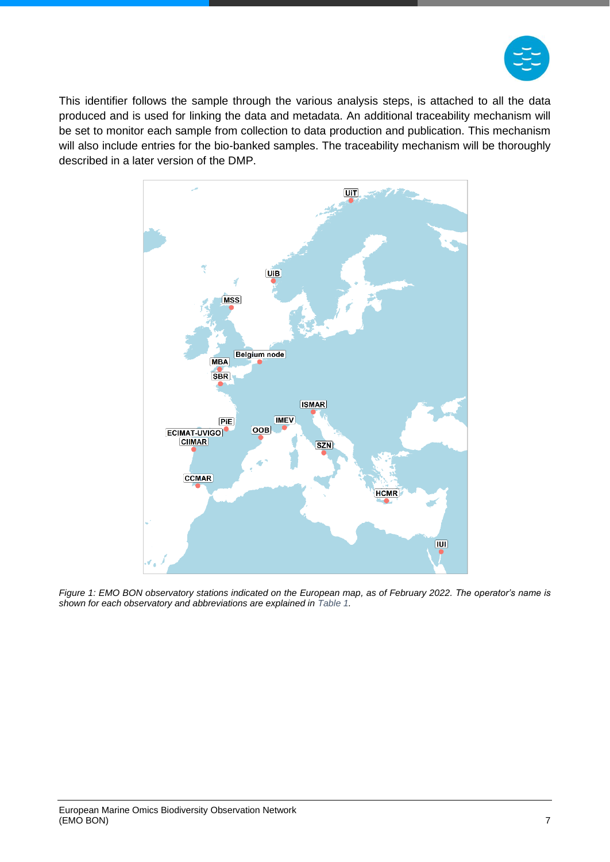

This identifier follows the sample through the various analysis steps, is attached to all the data produced and is used for linking the data and metadata. An additional traceability mechanism will be set to monitor each sample from collection to data production and publication. This mechanism will also include entries for the bio-banked samples. The traceability mechanism will be thoroughly described in a later version of the DMP.



<span id="page-7-0"></span>*Figure 1: EMO BON observatory stations indicated on the European map, as of February 2022. The operator's name is shown for each observatory and abbreviations are explained in [Table 1.](#page-8-0)*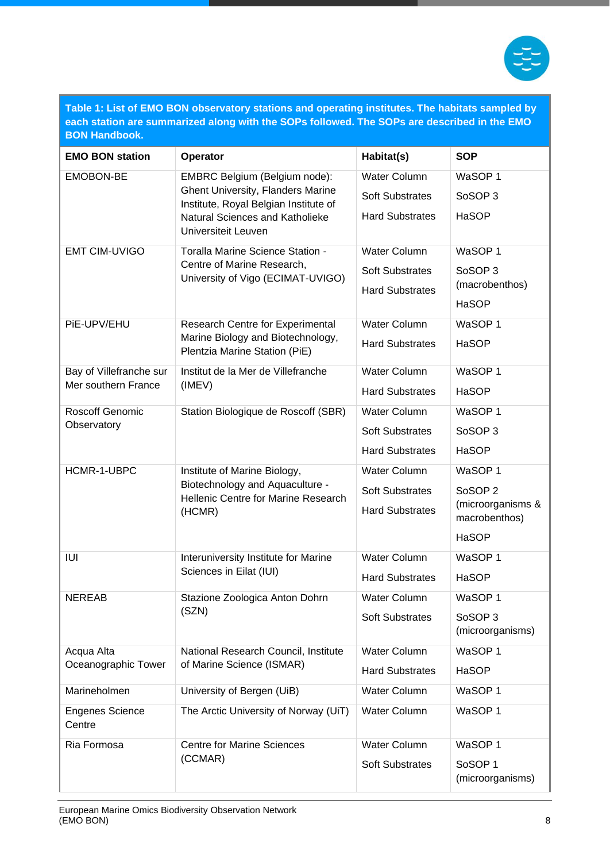

<span id="page-8-0"></span>**Table 1: List of EMO BON observatory stations and operating institutes. The habitats sampled by each station are summarized along with the SOPs followed. The SOPs are described in the EMO BON Handbook.**

| <b>EMO BON station</b>                                                                   | Operator                                                                          | Habitat(s)                             | <b>SOP</b>         |
|------------------------------------------------------------------------------------------|-----------------------------------------------------------------------------------|----------------------------------------|--------------------|
| <b>EMOBON-BE</b>                                                                         | EMBRC Belgium (Belgium node):                                                     | <b>Water Column</b>                    | WaSOP <sub>1</sub> |
|                                                                                          | <b>Ghent University, Flanders Marine</b><br>Institute, Royal Belgian Institute of | <b>Soft Substrates</b>                 | SoSOP <sub>3</sub> |
|                                                                                          | Natural Sciences and Katholieke<br>Universiteit Leuven                            | <b>Hard Substrates</b>                 | <b>HaSOP</b>       |
| <b>EMT CIM-UVIGO</b>                                                                     | Toralla Marine Science Station -                                                  | WaSOP 1<br><b>Water Column</b>         |                    |
|                                                                                          | Centre of Marine Research,<br>University of Vigo (ECIMAT-UVIGO)                   | <b>Soft Substrates</b>                 | SoSOP <sub>3</sub> |
|                                                                                          |                                                                                   | <b>Hard Substrates</b>                 | (macrobenthos)     |
|                                                                                          |                                                                                   |                                        | <b>HaSOP</b>       |
| PiE-UPV/EHU                                                                              | <b>Research Centre for Experimental</b><br>Marine Biology and Biotechnology,      | <b>Water Column</b>                    | WaSOP <sub>1</sub> |
|                                                                                          | Plentzia Marine Station (PiE)                                                     | <b>Hard Substrates</b>                 | <b>HaSOP</b>       |
| Bay of Villefranche sur                                                                  | Institut de la Mer de Villefranche                                                | <b>Water Column</b>                    | WaSOP <sub>1</sub> |
| Mer southern France                                                                      | (IMEV)                                                                            | <b>Hard Substrates</b>                 | <b>HaSOP</b>       |
| Roscoff Genomic                                                                          | Station Biologique de Roscoff (SBR)                                               | <b>Water Column</b>                    | WaSOP <sub>1</sub> |
| Observatory                                                                              |                                                                                   | <b>Soft Substrates</b>                 | SoSOP <sub>3</sub> |
|                                                                                          |                                                                                   | <b>Hard Substrates</b>                 | <b>HaSOP</b>       |
| HCMR-1-UBPC<br>Institute of Marine Biology,<br>Biotechnology and Aquaculture -<br>(HCMR) |                                                                                   | <b>Water Column</b>                    | WaSOP <sub>1</sub> |
|                                                                                          | Hellenic Centre for Marine Research                                               | <b>Soft Substrates</b>                 | SoSOP <sub>2</sub> |
|                                                                                          | <b>Hard Substrates</b>                                                            | (microorganisms &<br>macrobenthos)     |                    |
|                                                                                          |                                                                                   |                                        | <b>HaSOP</b>       |
| IUI                                                                                      | Interuniversity Institute for Marine                                              | <b>Water Column</b>                    | WaSOP <sub>1</sub> |
|                                                                                          | Sciences in Eilat (IUI)                                                           | <b>Hard Substrates</b>                 | <b>HaSOP</b>       |
| <b>NEREAB</b><br>(SZN)                                                                   | Stazione Zoologica Anton Dohrn                                                    | <b>Water Column</b>                    | WaSOP 1            |
|                                                                                          |                                                                                   | <b>Soft Substrates</b>                 | SoSOP 3            |
|                                                                                          |                                                                                   |                                        | (microorganisms)   |
| Acqua Alta                                                                               | National Research Council, Institute                                              | <b>Water Column</b>                    | WaSOP 1            |
| Oceanographic Tower<br>of Marine Science (ISMAR)                                         |                                                                                   | <b>Hard Substrates</b>                 | HaSOP              |
| Marineholmen                                                                             | University of Bergen (UiB)                                                        | <b>Water Column</b>                    | WaSOP 1            |
| <b>Engenes Science</b><br>Centre                                                         | The Arctic University of Norway (UiT)                                             | Water Column                           | WaSOP 1            |
| Ria Formosa                                                                              | <b>Centre for Marine Sciences</b>                                                 | <b>Water Column</b>                    | WaSOP 1            |
| (CCMAR)                                                                                  | <b>Soft Substrates</b>                                                            | SoSOP <sub>1</sub><br>(microorganisms) |                    |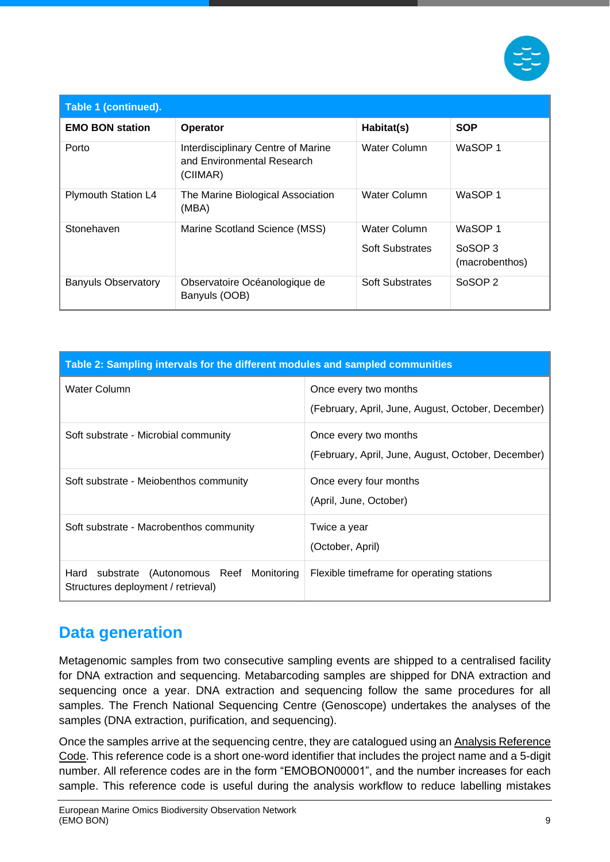

| Table 1 (continued).       |                                                                              |                                               |                                      |
|----------------------------|------------------------------------------------------------------------------|-----------------------------------------------|--------------------------------------|
| <b>EMO BON station</b>     | Operator                                                                     | Habitat(s)                                    | <b>SOP</b>                           |
| Porto                      | Interdisciplinary Centre of Marine<br>and Environmental Research<br>(CIIMAR) | Water Column                                  | WaSOP 1                              |
| <b>Plymouth Station L4</b> | The Marine Biological Association<br>(MBA)                                   | Water Column                                  | WaSOP 1                              |
| Stonehaven                 | Marine Scotland Science (MSS)                                                | <b>Water Column</b><br><b>Soft Substrates</b> | WaSOP 1<br>SoSOP 3<br>(macrobenthos) |
| <b>Banyuls Observatory</b> | Observatoire Océanologique de<br>Banyuls (OOB)                               | <b>Soft Substrates</b>                        | SoSOP <sub>2</sub>                   |

<span id="page-9-1"></span>

| Table 2: Sampling intervals for the different modules and sampled communities       |                                                                             |  |
|-------------------------------------------------------------------------------------|-----------------------------------------------------------------------------|--|
| Water Column                                                                        | Once every two months<br>(February, April, June, August, October, December) |  |
| Soft substrate - Microbial community                                                | Once every two months<br>(February, April, June, August, October, December) |  |
| Soft substrate - Meiobenthos community                                              | Once every four months<br>(April, June, October)                            |  |
| Soft substrate - Macrobenthos community                                             | Twice a year<br>(October, April)                                            |  |
| Hard<br>substrate (Autonomous Reef Monitoring<br>Structures deployment / retrieval) | Flexible timeframe for operating stations                                   |  |

### <span id="page-9-0"></span>**Data generation**

Metagenomic samples from two consecutive sampling events are shipped to a centralised facility for DNA extraction and sequencing. Metabarcoding samples are shipped for DNA extraction and sequencing once a year. DNA extraction and sequencing follow the same procedures for all samples. The French National Sequencing Centre (Genoscope) undertakes the analyses of the samples (DNA extraction, purification, and sequencing).

Once the samples arrive at the sequencing centre, they are catalogued using an Analysis Reference Code. This reference code is a short one-word identifier that includes the project name and a 5-digit number. All reference codes are in the form "EMOBON00001", and the number increases for each sample. This reference code is useful during the analysis workflow to reduce labelling mistakes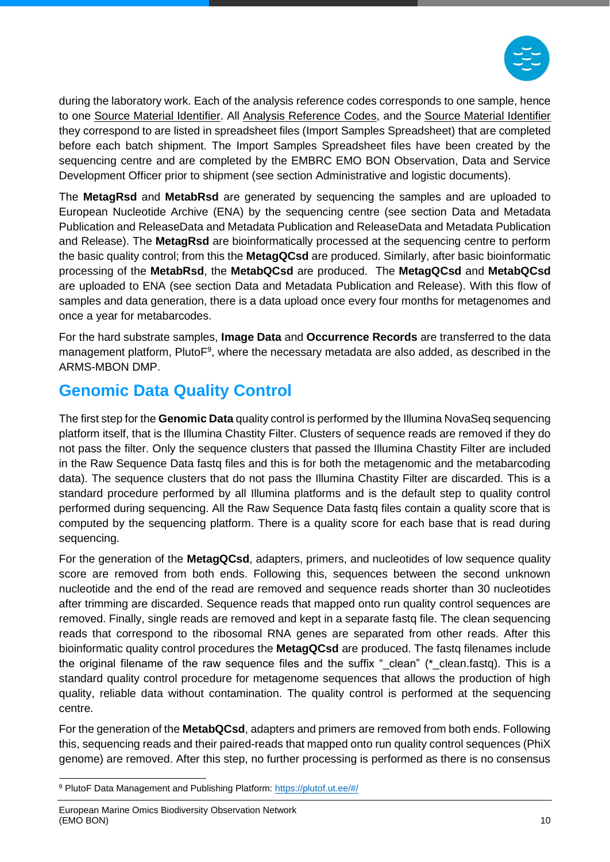

during the laboratory work. Each of the analysis reference codes corresponds to one sample, hence to one Source Material Identifier. All Analysis Reference Codes, and the Source Material Identifier they correspond to are listed in spreadsheet files (Import Samples Spreadsheet) that are completed before each batch shipment. The Import Samples Spreadsheet files have been created by the sequencing centre and are completed by the EMBRC EMO BON Observation, Data and Service Development Officer prior to shipment (see section [Administrative and logistic documents\)](#page-13-0).

The **MetagRsd** and **MetabRsd** are generated by sequencing the samples and are uploaded to European Nucleotide Archive (ENA) by the sequencing centre (see section [Data and Metadata](#page-16-0)  [Publication and ReleaseData and Metadata Publication and ReleaseData and Metadata Publication](#page-16-0)  [and Release\)](#page-16-0). The **MetagRsd** are bioinformatically processed at the sequencing centre to perform the basic quality control; from this the **MetagQCsd** are produced. Similarly, after basic bioinformatic processing of the **MetabRsd**, the **MetabQCsd** are produced. The **MetagQCsd** and **MetabQCsd** are uploaded to ENA (see section [Data and Metadata Publication and Release\)](#page-16-0). With this flow of samples and data generation, there is a data upload once every four months for metagenomes and once a year for metabarcodes.

For the hard substrate samples, **Image Data** and **Occurrence Records** are transferred to the data management platform, PlutoF<sup>9</sup>, where the necessary metadata are also added, as described in the ARMS-MBON DMP.

### <span id="page-10-0"></span>**Genomic Data Quality Control**

The first step for the **Genomic Data** quality control is performed by the Illumina NovaSeq sequencing platform itself, that is the Illumina Chastity Filter. Clusters of sequence reads are removed if they do not pass the filter. Only the sequence clusters that passed the Illumina Chastity Filter are included in the Raw Sequence Data fastq files and this is for both the metagenomic and the metabarcoding data). The sequence clusters that do not pass the Illumina Chastity Filter are discarded. This is a standard procedure performed by all Illumina platforms and is the default step to quality control performed during sequencing. All the Raw Sequence Data fastq files contain a quality score that is computed by the sequencing platform. There is a quality score for each base that is read during sequencing.

For the generation of the **MetagQCsd**, adapters, primers, and nucleotides of low sequence quality score are removed from both ends. Following this, sequences between the second unknown nucleotide and the end of the read are removed and sequence reads shorter than 30 nucleotides after trimming are discarded. Sequence reads that mapped onto run quality control sequences are removed. Finally, single reads are removed and kept in a separate fastq file. The clean sequencing reads that correspond to the ribosomal RNA genes are separated from other reads. After this bioinformatic quality control procedures the **MetagQCsd** are produced. The fastq filenames include the original filename of the raw sequence files and the suffix " clean" ( $*$  clean.fastq). This is a standard quality control procedure for metagenome sequences that allows the production of high quality, reliable data without contamination. The quality control is performed at the sequencing centre.

For the generation of the **MetabQCsd**, adapters and primers are removed from both ends. Following this, sequencing reads and their paired-reads that mapped onto run quality control sequences (PhiX genome) are removed. After this step, no further processing is performed as there is no consensus

<sup>9</sup> PlutoF Data Management and Publishing Platform[: https://plutof.ut.ee/#/](https://plutof.ut.ee/#/)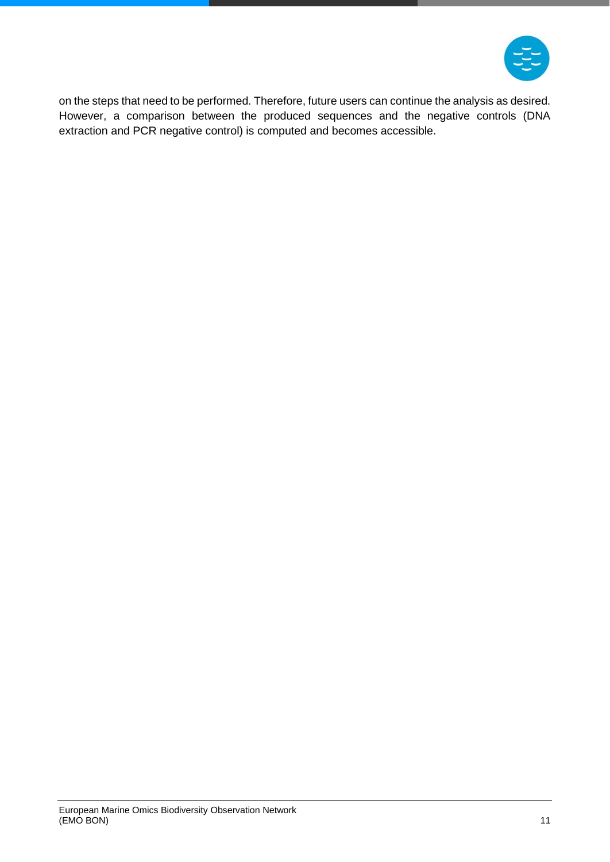

on the steps that need to be performed. Therefore, future users can continue the analysis as desired. However, a comparison between the produced sequences and the negative controls (DNA extraction and PCR negative control) is computed and becomes accessible.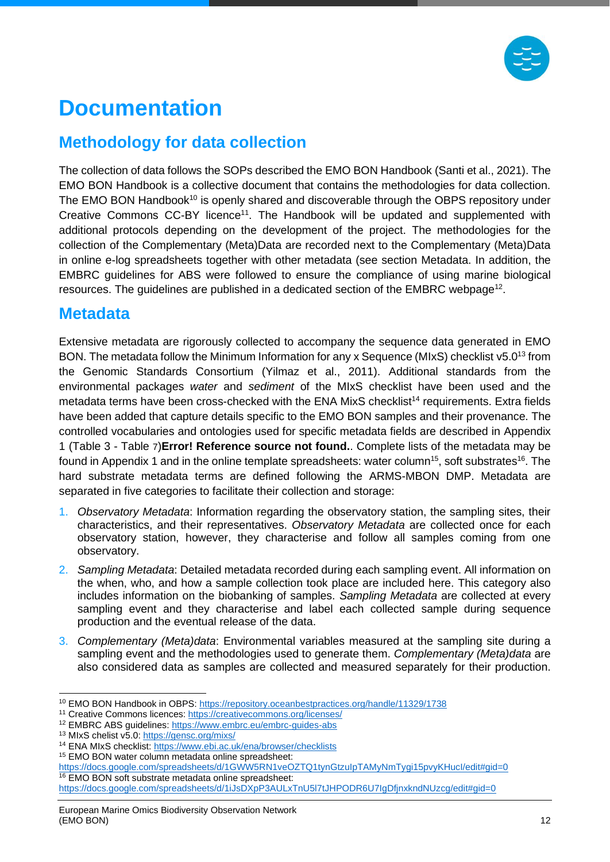

# <span id="page-12-0"></span>**Documentation**

### <span id="page-12-1"></span>**Methodology for data collection**

The collection of data follows the SOPs described the EMO BON Handbook (Santi et al., 2021). The EMO BON Handbook is a collective document that contains the methodologies for data collection. The EMO BON Handbook<sup>10</sup> is openly shared and discoverable through the OBPS repository under Creative Commons CC-BY licence<sup>11</sup>. The Handbook will be updated and supplemented with additional protocols depending on the development of the project. The methodologies for the collection of the Complementary (Meta)Data are recorded next to the Complementary (Meta)Data in online e-log spreadsheets together with other metadata (see section [Metadata.](#page-12-2) In addition, the EMBRC guidelines for ABS were followed to ensure the compliance of using marine biological resources. The guidelines are published in a dedicated section of the EMBRC webpage<sup>12</sup>.

#### <span id="page-12-2"></span>**Metadata**

Extensive metadata are rigorously collected to accompany the sequence data generated in EMO BON. The metadata follow the Minimum Information for any x Sequence (MIxS) checklist v5.0<sup>13</sup> from the Genomic Standards Consortium (Yilmaz et al., 2011). Additional standards from the environmental packages *water* and *sediment* of the MIxS checklist have been used and the metadata terms have been cross-checked with the ENA MixS checklist<sup>14</sup> requirements. Extra fields have been added that capture details specific to the EMO BON samples and their provenance. The controlled vocabularies and ontologies used for specific metadata fields are described in [Appendix](#page-24-0)  [1](#page-24-0) [\(Table 3](#page-24-1) - [Table](#page-30-0) [7](#page-30-0))**Error! Reference source not found.**. Complete lists of the metadata may be found in [Appendix 1](#page-24-0) and in the online template spreadsheets: water column<sup>15</sup>, soft substrates<sup>16</sup>. The hard substrate metadata terms are defined following the ARMS-MBON DMP. Metadata are separated in five categories to facilitate their collection and storage:

- 1. *Observatory Metadata*: Information regarding the observatory station, the sampling sites, their characteristics, and their representatives. *Observatory Metadata* are collected once for each observatory station, however, they characterise and follow all samples coming from one observatory.
- 2. *Sampling Metadata*: Detailed metadata recorded during each sampling event. All information on the when, who, and how a sample collection took place are included here. This category also includes information on the biobanking of samples. *Sampling Metadata* are collected at every sampling event and they characterise and label each collected sample during sequence production and the eventual release of the data.
- 3. *Complementary (Meta)data*: Environmental variables measured at the sampling site during a sampling event and the methodologies used to generate them. *Complementary (Meta)data* are also considered data as samples are collected and measured separately for their production.

<sup>10</sup> EMO BON Handbook in OBPS:<https://repository.oceanbestpractices.org/handle/11329/1738>

<sup>11</sup> Creative Commons licences:<https://creativecommons.org/licenses/>

<sup>12</sup> EMBRC ABS guidelines:<https://www.embrc.eu/embrc-guides-abs>

<sup>13</sup> MIxS chelist v5.0:<https://gensc.org/mixs/>

<sup>14</sup> ENA MIxS checklist:<https://www.ebi.ac.uk/ena/browser/checklists>

<sup>15</sup> EMO BON water column metadata online spreadsheet:

https://docs.google.com/spreadsheets/d/1GWW5RN1veOZTQ1tynGtzulpTAMyNmTygi15pvyKHucl/edit#gid=0 <sup>16</sup> EMO BON soft substrate metadata online spreadsheet:

<https://docs.google.com/spreadsheets/d/1iJsDXpP3AULxTnU5l7tJHPODR6U7IgDfjnxkndNUzcg/edit#gid=0>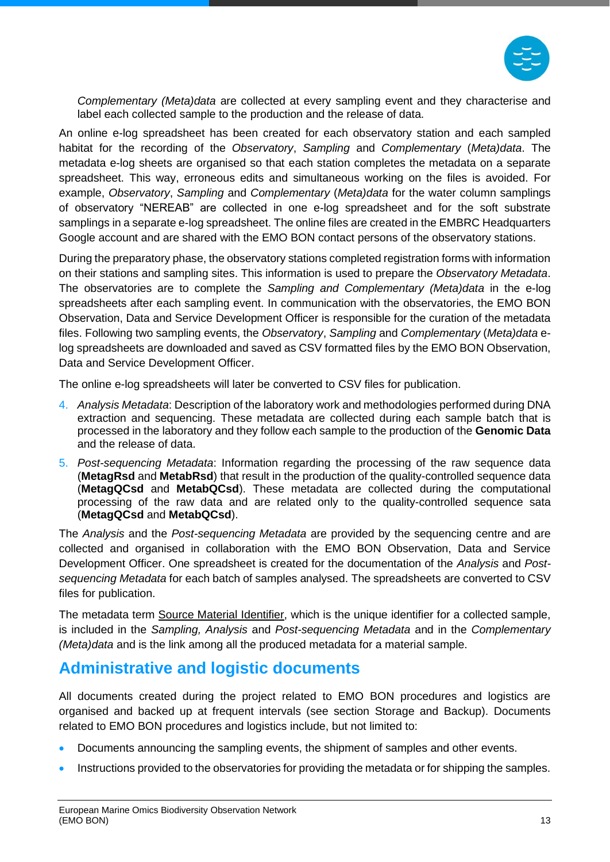

*Complementary (Meta)data* are collected at every sampling event and they characterise and label each collected sample to the production and the release of data.

An online e-log spreadsheet has been created for each observatory station and each sampled habitat for the recording of the *Observatory*, *Sampling* and *Complementary* (*Meta)data*. The metadata e-log sheets are organised so that each station completes the metadata on a separate spreadsheet. This way, erroneous edits and simultaneous working on the files is avoided. For example, *Observatory*, *Sampling* and *Complementary* (*Meta)data* for the water column samplings of observatory "NEREAB" are collected in one e-log spreadsheet and for the soft substrate samplings in a separate e-log spreadsheet. The online files are created in the EMBRC Headquarters Google account and are shared with the EMO BON contact persons of the observatory stations.

During the preparatory phase, the observatory stations completed registration forms with information on their stations and sampling sites. This information is used to prepare the *Observatory Metadata*. The observatories are to complete the *Sampling and Complementary (Meta)data* in the e-log spreadsheets after each sampling event. In communication with the observatories, the EMO BON Observation, Data and Service Development Officer is responsible for the curation of the metadata files. Following two sampling events, the *Observatory*, *Sampling* and *Complementary* (*Meta)data* elog spreadsheets are downloaded and saved as CSV formatted files by the EMO BON Observation, Data and Service Development Officer.

The online e-log spreadsheets will later be converted to CSV files for publication.

- 4. *Analysis Metadata*: Description of the laboratory work and methodologies performed during DNA extraction and sequencing. These metadata are collected during each sample batch that is processed in the laboratory and they follow each sample to the production of the **Genomic Data** and the release of data.
- 5. *Post-sequencing Metadata*: Information regarding the processing of the raw sequence data (**MetagRsd** and **MetabRsd**) that result in the production of the quality-controlled sequence data (**MetagQCsd** and **MetabQCsd**). These metadata are collected during the computational processing of the raw data and are related only to the quality-controlled sequence sata (**MetagQCsd** and **MetabQCsd**).

The *Analysis* and the *Post-sequencing Metadata* are provided by the sequencing centre and are collected and organised in collaboration with the EMO BON Observation, Data and Service Development Officer. One spreadsheet is created for the documentation of the *Analysis* and *Postsequencing Metadata* for each batch of samples analysed. The spreadsheets are converted to CSV files for publication.

The metadata term Source Material Identifier, which is the unique identifier for a collected sample, is included in the *Sampling, Analysis* and *Post-sequencing Metadata* and in the *Complementary (Meta)data* and is the link among all the produced metadata for a material sample.

### <span id="page-13-0"></span>**Administrative and logistic documents**

All documents created during the project related to EMO BON procedures and logistics are organised and backed up at frequent intervals (see section [Storage and Backup\)](#page-15-0). Documents related to EMO BON procedures and logistics include, but not limited to:

- Documents announcing the sampling events, the shipment of samples and other events.
- Instructions provided to the observatories for providing the metadata or for shipping the samples.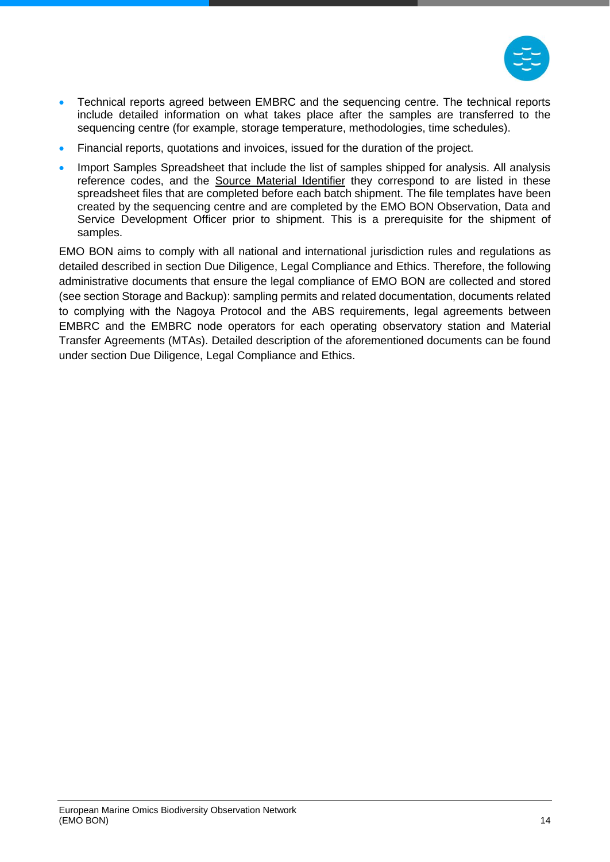

- Technical reports agreed between EMBRC and the sequencing centre. The technical reports include detailed information on what takes place after the samples are transferred to the sequencing centre (for example, storage temperature, methodologies, time schedules).
- Financial reports, quotations and invoices, issued for the duration of the project.
- Import Samples Spreadsheet that include the list of samples shipped for analysis. All analysis reference codes, and the Source Material Identifier they correspond to are listed in these spreadsheet files that are completed before each batch shipment. The file templates have been created by the sequencing centre and are completed by the EMO BON Observation, Data and Service Development Officer prior to shipment. This is a prerequisite for the shipment of samples.

EMO BON aims to comply with all national and international jurisdiction rules and regulations as detailed described in section [Due Diligence, Legal Compliance and Ethics.](#page-17-0) Therefore, the following administrative documents that ensure the legal compliance of EMO BON are collected and stored (see section [Storage and Backup\)](#page-15-0): sampling permits and related documentation, documents related to complying with the Nagoya Protocol and the ABS requirements, legal agreements between EMBRC and the EMBRC node operators for each operating observatory station and Material Transfer Agreements (MTAs). Detailed description of the aforementioned documents can be found under section [Due Diligence, Legal Compliance and Ethics.](#page-17-0)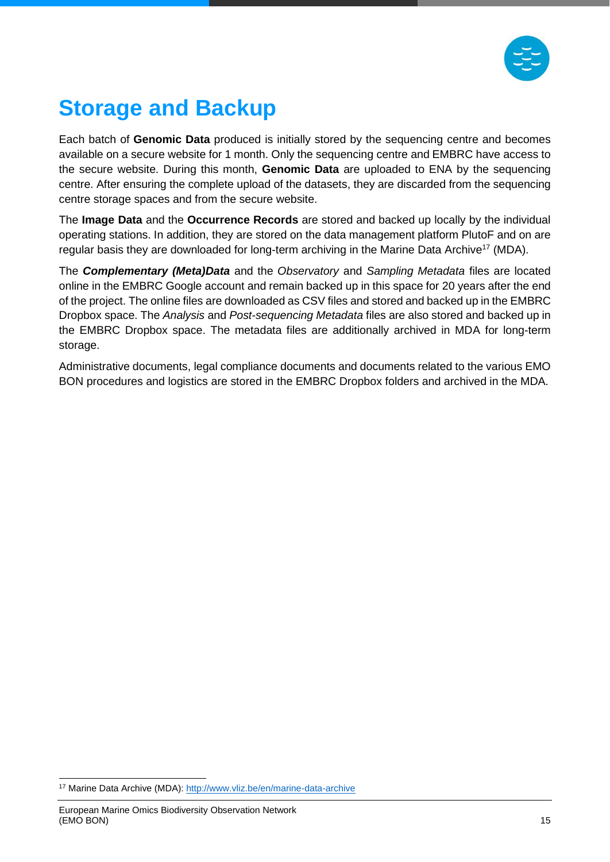

# <span id="page-15-0"></span>**Storage and Backup**

Each batch of **Genomic Data** produced is initially stored by the sequencing centre and becomes available on a secure website for 1 month. Only the sequencing centre and EMBRC have access to the secure website. During this month, **Genomic Data** are uploaded to ENA by the sequencing centre. After ensuring the complete upload of the datasets, they are discarded from the sequencing centre storage spaces and from the secure website.

The **Image Data** and the **Occurrence Records** are stored and backed up locally by the individual operating stations. In addition, they are stored on the data management platform PlutoF and on are regular basis they are downloaded for long-term archiving in the Marine Data Archive<sup>17</sup> (MDA).

The *Complementary (Meta)Data* and the *Observatory* and *Sampling Metadata* files are located online in the EMBRC Google account and remain backed up in this space for 20 years after the end of the project. The online files are downloaded as CSV files and stored and backed up in the EMBRC Dropbox space. The *Analysis* and *Post-sequencing Metadata* files are also stored and backed up in the EMBRC Dropbox space. The metadata files are additionally archived in MDA for long-term storage.

Administrative documents, legal compliance documents and documents related to the various EMO BON procedures and logistics are stored in the EMBRC Dropbox folders and archived in the MDA.

<sup>17</sup> Marine Data Archive (MDA): http://www.vliz.be/en/marine-data-archive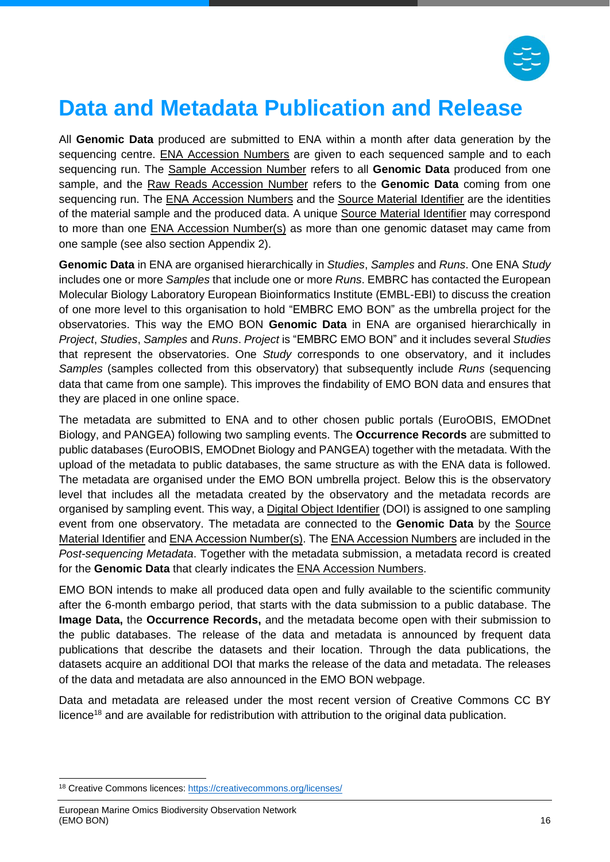

## <span id="page-16-0"></span>**Data and Metadata Publication and Release**

All **Genomic Data** produced are submitted to ENA within a month after data generation by the sequencing centre. ENA Accession Numbers are given to each sequenced sample and to each sequencing run. The Sample Accession Number refers to all **Genomic Data** produced from one sample, and the Raw Reads Accession Number refers to the **Genomic Data** coming from one sequencing run. The ENA Accession Numbers and the Source Material Identifier are the identities of the material sample and the produced data. A unique Source Material Identifier may correspond to more than one ENA Accession Number(s) as more than one genomic dataset may came from one sample (see also section [Appendix 2\)](#page-31-0).

**Genomic Data** in ENA are organised hierarchically in *Studies*, *Samples* and *Runs*. One ENA *Study* includes one or more *Samples* that include one or more *Runs*. EMBRC has contacted the European Molecular Biology Laboratory European Bioinformatics Institute (EMBL-EBI) to discuss the creation of one more level to this organisation to hold "EMBRC EMO BON" as the umbrella project for the observatories. This way the EMO BON **Genomic Data** in ENA are organised hierarchically in *Project*, *Studies*, *Samples* and *Runs*. *Project* is "EMBRC EMO BON" and it includes several *Studies* that represent the observatories. One *Study* corresponds to one observatory, and it includes *Samples* (samples collected from this observatory) that subsequently include *Runs* (sequencing data that came from one sample)*.* This improves the findability of EMO BON data and ensures that they are placed in one online space.

The metadata are submitted to ENA and to other chosen public portals (EuroOBIS, EMODnet Biology, and PANGEA) following two sampling events. The **Occurrence Records** are submitted to public databases (EuroOBIS, EMODnet Biology and PANGEA) together with the metadata. With the upload of the metadata to public databases, the same structure as with the ENA data is followed. The metadata are organised under the EMO BON umbrella project. Below this is the observatory level that includes all the metadata created by the observatory and the metadata records are organised by sampling event. This way, a Digital Object Identifier (DOI) is assigned to one sampling event from one observatory. The metadata are connected to the **Genomic Data** by the Source Material Identifier and ENA Accession Number(s). The ENA Accession Numbers are included in the *Post-sequencing Metadata*. Together with the metadata submission, a metadata record is created for the **Genomic Data** that clearly indicates the ENA Accession Numbers.

EMO BON intends to make all produced data open and fully available to the scientific community after the 6-month embargo period, that starts with the data submission to a public database. The **Image Data,** the **Occurrence Records,** and the metadata become open with their submission to the public databases. The release of the data and metadata is announced by frequent data publications that describe the datasets and their location. Through the data publications, the datasets acquire an additional DOI that marks the release of the data and metadata. The releases of the data and metadata are also announced in the EMO BON webpage.

Data and metadata are released under the most recent version of Creative Commons CC BY licence<sup>18</sup> and are available for redistribution with attribution to the original data publication.

<sup>18</sup> Creative Commons licences:<https://creativecommons.org/licenses/>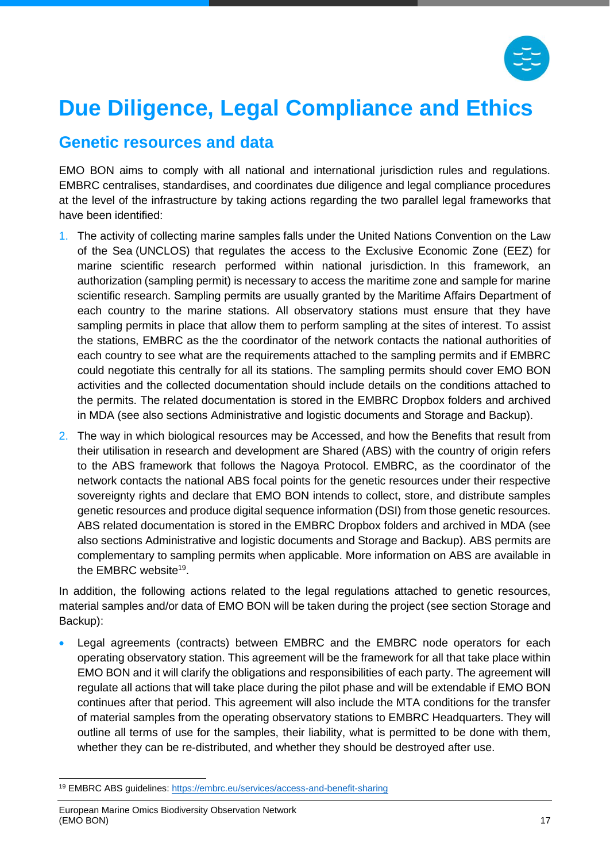

# <span id="page-17-0"></span>**Due Diligence, Legal Compliance and Ethics**

#### <span id="page-17-1"></span>**Genetic resources and data**

EMO BON aims to comply with all national and international jurisdiction rules and regulations. EMBRC centralises, standardises, and coordinates due diligence and legal compliance procedures at the level of the infrastructure by taking actions regarding the two parallel legal frameworks that have been identified:

- 1. The activity of collecting marine samples falls under the United Nations Convention on the Law of the Sea (UNCLOS) that regulates the access to the Exclusive Economic Zone (EEZ) for marine scientific research performed within national jurisdiction. In this framework, an authorization (sampling permit) is necessary to access the maritime zone and sample for marine scientific research. Sampling permits are usually granted by the Μaritime Αffairs Department of each country to the marine stations. All observatory stations must ensure that they have sampling permits in place that allow them to perform sampling at the sites of interest. To assist the stations, EMBRC as the the coordinator of the network contacts the national authorities of each country to see what are the requirements attached to the sampling permits and if EMBRC could negotiate this centrally for all its stations. The sampling permits should cover EMO BON activities and the collected documentation should include details on the conditions attached to the permits. The related documentation is stored in the EMBRC Dropbox folders and archived in MDA (see also sections [Administrative and logistic documents](#page-13-0) and [Storage and Backup\)](#page-15-0).
- 2. The way in which biological resources may be Accessed, and how the Benefits that result from their utilisation in research and development are Shared (ABS) with the country of origin refers to the ABS framework that follows the Nagoya Protocol. EMBRC, as the coordinator of the network contacts the national ABS focal points for the genetic resources under their respective sovereignty rights and declare that EMO BON intends to collect, store, and distribute samples genetic resources and produce digital sequence information (DSI) from those genetic resources. ABS related documentation is stored in the EMBRC Dropbox folders and archived in MDA (see also sections [Administrative and logistic documents](#page-13-0) and [Storage and Backup\)](#page-15-0). ABS permits are complementary to sampling permits when applicable. More information on ABS are available in the EMBRC website<sup>19</sup>.

In addition, the following actions related to the legal regulations attached to genetic resources, material samples and/or data of EMO BON will be taken during the project (see section [Storage and](#page-15-0)  [Backup\)](#page-15-0):

Legal agreements (contracts) between EMBRC and the EMBRC node operators for each operating observatory station. This agreement will be the framework for all that take place within EMO BON and it will clarify the obligations and responsibilities of each party. The agreement will regulate all actions that will take place during the pilot phase and will be extendable if EMO BON continues after that period. This agreement will also include the MTA conditions for the transfer of material samples from the operating observatory stations to EMBRC Headquarters. They will outline all terms of use for the samples, their liability, what is permitted to be done with them, whether they can be re-distributed, and whether they should be destroyed after use.

<sup>19</sup> EMBRC ABS guidelines: <https://embrc.eu/services/access-and-benefit-sharing>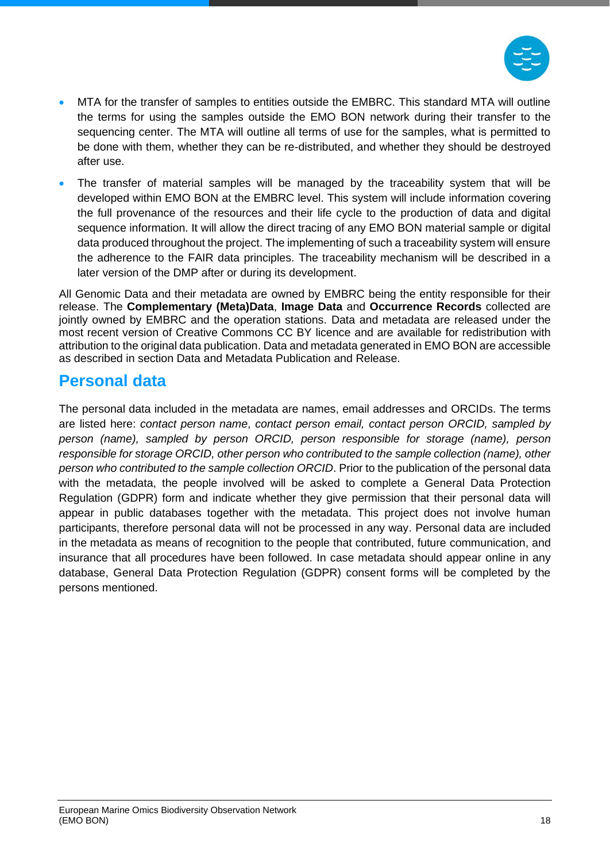

- MTA for the transfer of samples to entities outside the EMBRC. This standard MTA will outline the terms for using the samples outside the EMO BON network during their transfer to the sequencing center. The MTA will outline all terms of use for the samples, what is permitted to be done with them, whether they can be re-distributed, and whether they should be destroyed after use.
- The transfer of material samples will be managed by the traceability system that will be developed within EMO BON at the EMBRC level. This system will include information covering the full provenance of the resources and their life cycle to the production of data and digital sequence information. It will allow the direct tracing of any EMO BON material sample or digital data produced throughout the project. The implementing of such a traceability system will ensure the adherence to the FAIR data principles. The traceability mechanism will be described in a later version of the DMP after or during its development.

All Genomic Data and their metadata are owned by EMBRC being the entity responsible for their release. The **Complementary (Meta)Data**, **Image Data** and **Occurrence Records** collected are jointly owned by EMBRC and the operation stations. Data and metadata are released under the most recent version of Creative Commons CC BY licence and are available for redistribution with attribution to the original data publication. Data and metadata generated in EMO BON are accessible as described in section [Data and Metadata Publication and Release.](#page-16-0)

#### <span id="page-18-0"></span>**Personal data**

The personal data included in the metadata are names, email addresses and ORCIDs. The terms are listed here: *contact person name*, *contact person email, contact person ORCID, sampled by person (name), sampled by person ORCID, person responsible for storage (name), person responsible for storage ORCID, other person who contributed to the sample collection (name), other person who contributed to the sample collection ORCID*. Prior to the publication of the personal data with the metadata, the people involved will be asked to complete a General Data Protection Regulation (GDPR) form and indicate whether they give permission that their personal data will appear in public databases together with the metadata. This project does not involve human participants, therefore personal data will not be processed in any way. Personal data are included in the metadata as means of recognition to the people that contributed, future communication, and insurance that all procedures have been followed. In case metadata should appear online in any database, General Data Protection Regulation (GDPR) consent forms will be completed by the persons mentioned.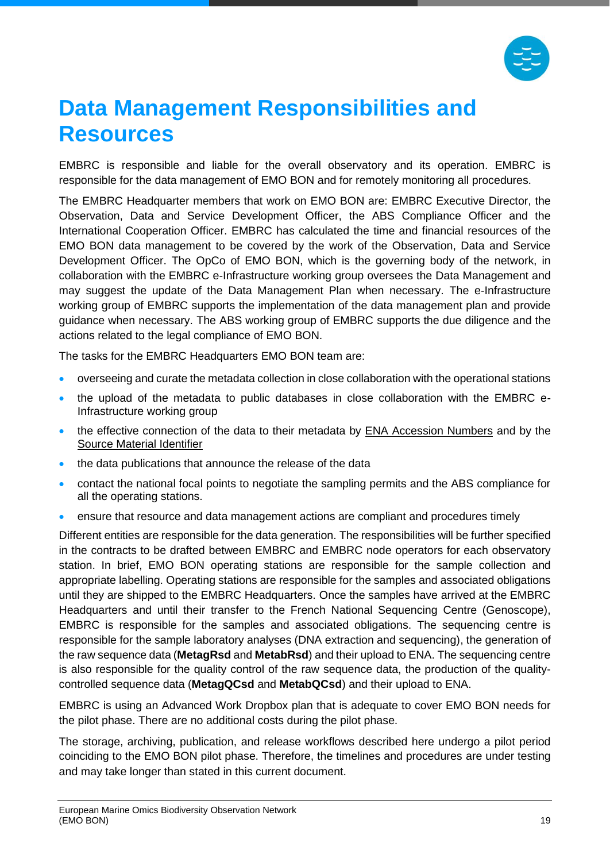

### <span id="page-19-0"></span>**Data Management Responsibilities and Resources**

EMBRC is responsible and liable for the overall observatory and its operation. EMBRC is responsible for the data management of EMO BON and for remotely monitoring all procedures.

The EMBRC Headquarter members that work on EMO BON are: EMBRC Executive Director, the Observation, Data and Service Development Officer, the ABS Compliance Officer and the International Cooperation Officer. EMBRC has calculated the time and financial resources of the EMO BON data management to be covered by the work of the Observation, Data and Service Development Officer. The OpCo of EMO BON, which is the governing body of the network, in collaboration with the EMBRC e-Infrastructure working group oversees the Data Management and may suggest the update of the Data Management Plan when necessary. The e-Infrastructure working group of EMBRC supports the implementation of the data management plan and provide guidance when necessary. The ABS working group of EMBRC supports the due diligence and the actions related to the legal compliance of EMO BON.

The tasks for the EMBRC Headquarters EMO BON team are:

- overseeing and curate the metadata collection in close collaboration with the operational stations
- the upload of the metadata to public databases in close collaboration with the EMBRC e-Infrastructure working group
- the effective connection of the data to their metadata by ENA Accession Numbers and by the Source Material Identifier
- the data publications that announce the release of the data
- contact the national focal points to negotiate the sampling permits and the ABS compliance for all the operating stations.
- ensure that resource and data management actions are compliant and procedures timely

Different entities are responsible for the data generation. The responsibilities will be further specified in the contracts to be drafted between EMBRC and EMBRC node operators for each observatory station. In brief, EMO BON operating stations are responsible for the sample collection and appropriate labelling. Operating stations are responsible for the samples and associated obligations until they are shipped to the EMBRC Headquarters. Once the samples have arrived at the EMBRC Headquarters and until their transfer to the French National Sequencing Centre (Genoscope), EMBRC is responsible for the samples and associated obligations. The sequencing centre is responsible for the sample laboratory analyses (DNA extraction and sequencing), the generation of the raw sequence data (**MetagRsd** and **MetabRsd**) and their upload to ENA. The sequencing centre is also responsible for the quality control of the raw sequence data, the production of the qualitycontrolled sequence data (**MetagQCsd** and **MetabQCsd**) and their upload to ENA.

EMBRC is using an Advanced Work Dropbox plan that is adequate to cover EMO BON needs for the pilot phase. There are no additional costs during the pilot phase.

The storage, archiving, publication, and release workflows described here undergo a pilot period coinciding to the EMO BON pilot phase. Therefore, the timelines and procedures are under testing and may take longer than stated in this current document.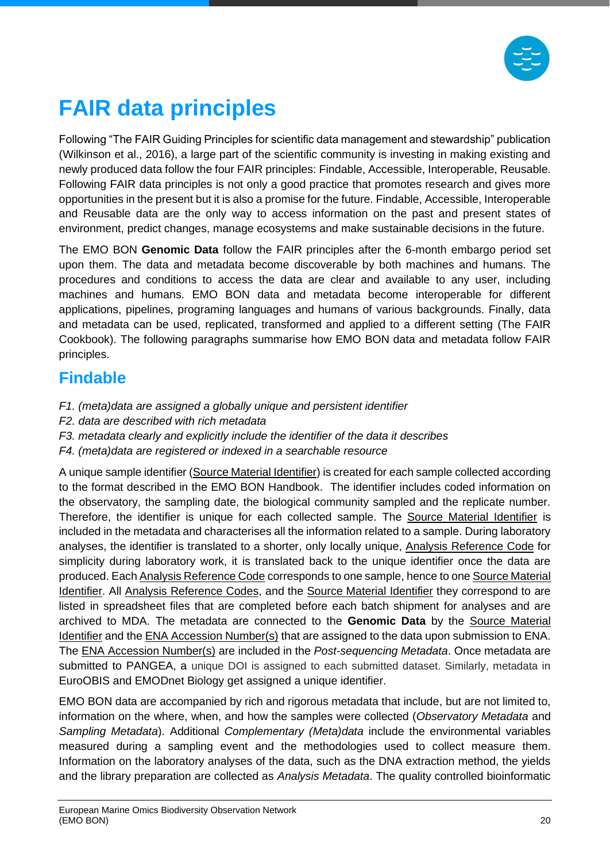

# <span id="page-20-0"></span>**FAIR data principles**

Following "The FAIR Guiding Principles for scientific data management and stewardship" publication (Wilkinson et al., 2016), a large part of the scientific community is investing in making existing and newly produced data follow the four FAIR principles: Findable, Accessible, Interoperable, Reusable. Following FAIR data principles is not only a good practice that promotes research and gives more opportunities in the present but it is also a promise for the future. Findable, Accessible, Interoperable and Reusable data are the only way to access information on the past and present states of environment, predict changes, manage ecosystems and make sustainable decisions in the future.

The EMO BON **Genomic Data** follow the FAIR principles after the 6-month embargo period set upon them. The data and metadata become discoverable by both machines and humans. The procedures and conditions to access the data are clear and available to any user, including machines and humans. EMO BON data and metadata become interoperable for different applications, pipelines, programing languages and humans of various backgrounds. Finally, data and metadata can be used, replicated, transformed and applied to a different setting (The FAIR Cookbook). The following paragraphs summarise how EMO BON data and metadata follow FAIR principles.

### <span id="page-20-1"></span>**Findable**

- *F1. (meta)data are assigned a globally unique and persistent identifier*
- *F2. data are described with rich metadata*
- *F3. metadata clearly and explicitly include the identifier of the data it describes*
- *F4. (meta)data are registered or indexed in a searchable resource*

A unique sample identifier (Source Material Identifier) is created for each sample collected according to the format described in the EMO BON Handbook. The identifier includes coded information on the observatory, the sampling date, the biological community sampled and the replicate number. Therefore, the identifier is unique for each collected sample. The Source Material Identifier is included in the metadata and characterises all the information related to a sample. During laboratory analyses, the identifier is translated to a shorter, only locally unique, Analysis Reference Code for simplicity during laboratory work, it is translated back to the unique identifier once the data are produced. Each Analysis Reference Code corresponds to one sample, hence to one Source Material Identifier. All Analysis Reference Codes, and the Source Material Identifier they correspond to are listed in spreadsheet files that are completed before each batch shipment for analyses and are archived to MDA. The metadata are connected to the **Genomic Data** by the Source Material Identifier and the ENA Accession Number(s) that are assigned to the data upon submission to ENA. The ENA Accession Number(s) are included in the *Post-sequencing Metadata*. Once metadata are submitted to PANGEA, a unique DOI is assigned to each submitted dataset. Similarly, metadata in EuroOBIS and EMODnet Biology get assigned a unique identifier.

EMO BON data are accompanied by rich and rigorous metadata that include, but are not limited to, information on the where, when, and how the samples were collected (*Observatory Metadata* and *Sampling Metadata*). Additional *Complementary (Meta)data* include the environmental variables measured during a sampling event and the methodologies used to collect measure them. Information on the laboratory analyses of the data, such as the DNA extraction method, the yields and the library preparation are collected as *Analysis Metadata*. The quality controlled bioinformatic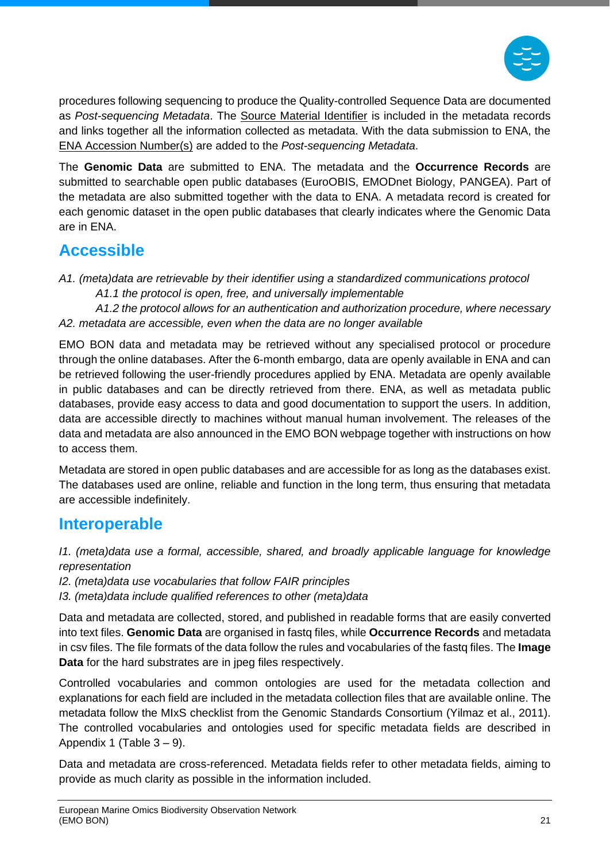

procedures following sequencing to produce the Quality-controlled Sequence Data are documented as *Post-sequencing Metadata*. The Source Material Identifier is included in the metadata records and links together all the information collected as metadata. With the data submission to ENA, the ENA Accession Number(s) are added to the *Post-sequencing Metadata*.

The **Genomic Data** are submitted to ENA. The metadata and the **Occurrence Records** are submitted to searchable open public databases (EuroOBIS, EMODnet Biology, PANGEA). Part of the metadata are also submitted together with the data to ENA. A metadata record is created for each genomic dataset in the open public databases that clearly indicates where the Genomic Data are in ENA.

### <span id="page-21-0"></span>**Accessible**

*A1. (meta)data are retrievable by their identifier using a standardized communications protocol A1.1 the protocol is open, free, and universally implementable* 

*A1.2 the protocol allows for an authentication and authorization procedure, where necessary A2. metadata are accessible, even when the data are no longer available*

EMO BON data and metadata may be retrieved without any specialised protocol or procedure through the online databases. After the 6-month embargo, data are openly available in ENA and can be retrieved following the user-friendly procedures applied by ENA. Metadata are openly available in public databases and can be directly retrieved from there. ENA, as well as metadata public databases, provide easy access to data and good documentation to support the users. In addition, data are accessible directly to machines without manual human involvement. The releases of the data and metadata are also announced in the EMO BON webpage together with instructions on how to access them.

Metadata are stored in open public databases and are accessible for as long as the databases exist. The databases used are online, reliable and function in the long term, thus ensuring that metadata are accessible indefinitely.

### <span id="page-21-1"></span>**Interoperable**

*I1. (meta)data use a formal, accessible, shared, and broadly applicable language for knowledge representation*

- *I2. (meta)data use vocabularies that follow FAIR principles*
- *I3. (meta)data include qualified references to other (meta)data*

Data and metadata are collected, stored, and published in readable forms that are easily converted into text files. **Genomic Data** are organised in fastq files, while **Occurrence Records** and metadata in csv files. The file formats of the data follow the rules and vocabularies of the fastq files. The **Image Data** for the hard substrates are in jpeg files respectively.

Controlled vocabularies and common ontologies are used for the metadata collection and explanations for each field are included in the metadata collection files that are available online. The metadata follow the [MIxS](https://gensc.org/mixs/) checklist from the Genomic Standards Consortium (Yilmaz et al., 2011). The controlled vocabularies and ontologies used for specific metadata fields are described in [Appendix 1](#page-24-0) (Table  $3 - 9$ ).

Data and metadata are cross-referenced. Metadata fields refer to other metadata fields, aiming to provide as much clarity as possible in the information included.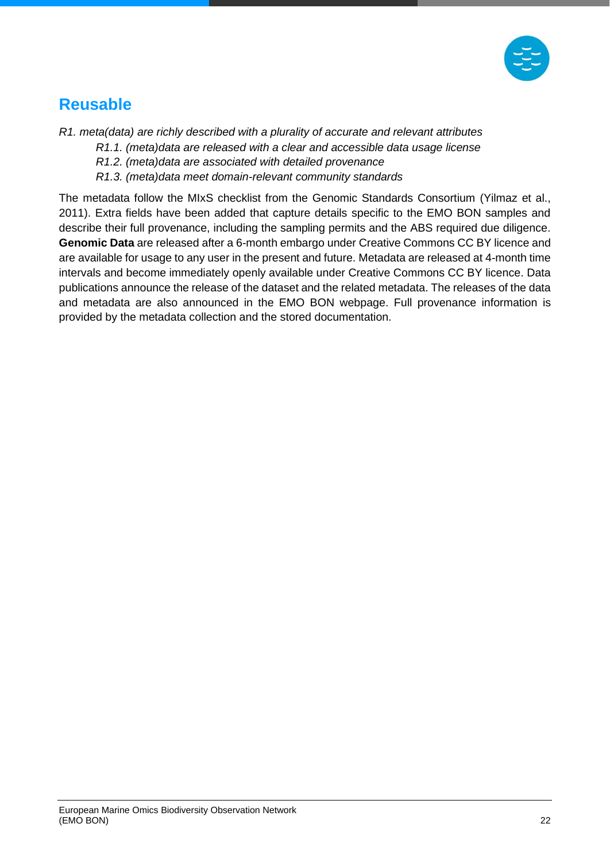

### <span id="page-22-0"></span>**Reusable**

*R1. meta(data) are richly described with a plurality of accurate and relevant attributes* 

*R1.1. (meta)data are released with a clear and accessible data usage license* 

- *R1.2. (meta)data are associated with detailed provenance*
- *R1.3. (meta)data meet domain-relevant community standards*

The metadata follow the MIxS checklist from the Genomic Standards Consortium (Yilmaz et al., 2011). Extra fields have been added that capture details specific to the EMO BON samples and describe their full provenance, including the sampling permits and the ABS required due diligence. **Genomic Data** are released after a 6-month embargo under Creative Commons CC BY licence and are available for usage to any user in the present and future. Metadata are released at 4-month time intervals and become immediately openly available under Creative Commons CC BY licence. Data publications announce the release of the dataset and the related metadata. The releases of the data and metadata are also announced in the EMO BON webpage. Full provenance information is provided by the metadata collection and the stored documentation.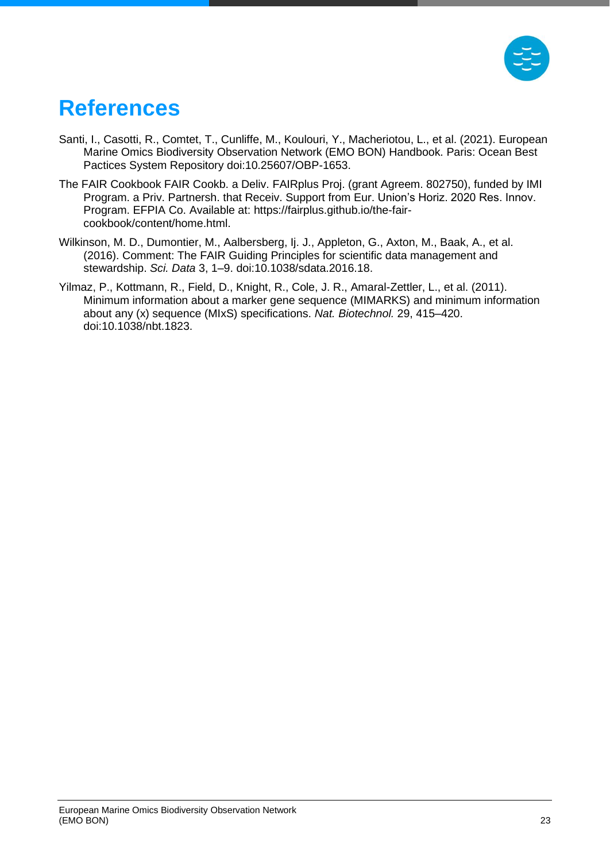

## <span id="page-23-0"></span>**References**

- Santi, I., Casotti, R., Comtet, T., Cunliffe, M., Koulouri, Y., Macheriotou, L., et al. (2021). European Marine Omics Biodiversity Observation Network (EMO BON) Handbook. Paris: Ocean Best Pactices System Repository doi:10.25607/OBP-1653.
- The FAIR Cookbook FAIR Cookb. a Deliv. FAIRplus Proj. (grant Agreem. 802750), funded by IMI Program. a Priv. Partnersh. that Receiv. Support from Eur. Union's Horiz. 2020 Res. Innov. Program. EFPIA Co. Available at: https://fairplus.github.io/the-faircookbook/content/home.html.
- Wilkinson, M. D., Dumontier, M., Aalbersberg, Ij. J., Appleton, G., Axton, M., Baak, A., et al. (2016). Comment: The FAIR Guiding Principles for scientific data management and stewardship. *Sci. Data* 3, 1–9. doi:10.1038/sdata.2016.18.
- Yilmaz, P., Kottmann, R., Field, D., Knight, R., Cole, J. R., Amaral-Zettler, L., et al. (2011). Minimum information about a marker gene sequence (MIMARKS) and minimum information about any (x) sequence (MIxS) specifications. *Nat. Biotechnol.* 29, 415–420. doi:10.1038/nbt.1823.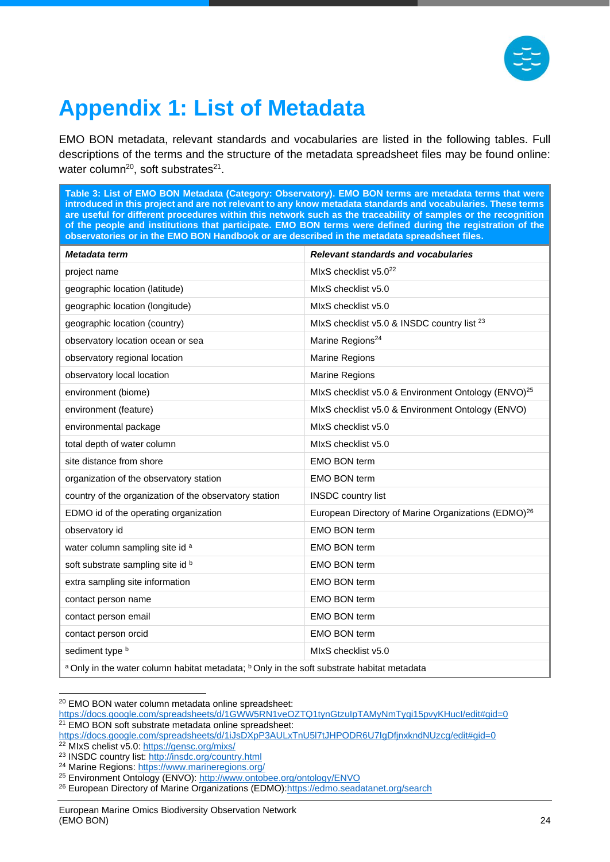

# <span id="page-24-0"></span>**Appendix 1: List of Metadata**

EMO BON metadata, relevant standards and vocabularies are listed in the following tables. Full descriptions of the terms and the structure of the metadata spreadsheet files may be found online: water column<sup>20</sup>, soft substrates<sup>21</sup>.

<span id="page-24-1"></span>**Table 3: List of EMO BON Metadata (Category: Observatory). EMO BON terms are metadata terms that were introduced in this project and are not relevant to any know metadata standards and vocabularies. These terms are useful for different procedures within this network such as the traceability of samples or the recognition of the people and institutions that participate. EMO BON terms were defined during the registration of the observatories or in the EMO BON Handbook or are described in the metadata spreadsheet files.**

| Metadata term                                                                                                    | <b>Relevant standards and vocabularies</b>                      |  |
|------------------------------------------------------------------------------------------------------------------|-----------------------------------------------------------------|--|
| project name                                                                                                     | MIxS checklist v5.0 <sup>22</sup>                               |  |
| geographic location (latitude)                                                                                   | MIxS checklist v5.0                                             |  |
| geographic location (longitude)                                                                                  | MIxS checklist v5.0                                             |  |
| geographic location (country)                                                                                    | MIxS checklist v5.0 & INSDC country list <sup>23</sup>          |  |
| observatory location ocean or sea                                                                                | Marine Regions <sup>24</sup>                                    |  |
| observatory regional location                                                                                    | Marine Regions                                                  |  |
| observatory local location                                                                                       | Marine Regions                                                  |  |
| environment (biome)                                                                                              | MIxS checklist v5.0 & Environment Ontology (ENVO) <sup>25</sup> |  |
| environment (feature)                                                                                            | MIxS checklist v5.0 & Environment Ontology (ENVO)               |  |
| environmental package                                                                                            | MIxS checklist v5.0                                             |  |
| total depth of water column                                                                                      | MIxS checklist v5.0                                             |  |
| site distance from shore                                                                                         | <b>EMO BON term</b>                                             |  |
| organization of the observatory station                                                                          | <b>EMO BON term</b>                                             |  |
| country of the organization of the observatory station                                                           | <b>INSDC</b> country list                                       |  |
| EDMO id of the operating organization                                                                            | European Directory of Marine Organizations (EDMO) <sup>26</sup> |  |
| observatory id                                                                                                   | <b>EMO BON term</b>                                             |  |
| water column sampling site id a                                                                                  | <b>EMO BON term</b>                                             |  |
| soft substrate sampling site id b                                                                                | <b>EMO BON term</b>                                             |  |
| extra sampling site information                                                                                  | <b>EMO BON term</b>                                             |  |
| contact person name                                                                                              | <b>EMO BON term</b>                                             |  |
| contact person email                                                                                             | <b>EMO BON term</b>                                             |  |
| contact person orcid                                                                                             | <b>EMO BON term</b>                                             |  |
| sediment type b                                                                                                  | MIxS checklist v5.0                                             |  |
| <sup>a</sup> Only in the water column habitat metadata; <sup>b</sup> Only in the soft substrate habitat metadata |                                                                 |  |

<sup>20</sup> EMO BON water column metadata online spreadsheet:

<https://docs.google.com/spreadsheets/d/1GWW5RN1veOZTQ1tynGtzuIpTAMyNmTygi15pvyKHucI/edit#gid=0> <sup>21</sup> EMO BON soft substrate metadata online spreadsheet:

<https://docs.google.com/spreadsheets/d/1iJsDXpP3AULxTnU5l7tJHPODR6U7IgDfjnxkndNUzcg/edit#gid=0> <sup>22</sup> MIxS chelist v5.0:<https://gensc.org/mixs/>

<sup>&</sup>lt;sup>23</sup> INSDC country list:<http://insdc.org/country.html>

<sup>&</sup>lt;sup>24</sup> Marine Regions:<https://www.marineregions.org/>

<sup>&</sup>lt;sup>25</sup> Environment Ontology (ENVO):<http://www.ontobee.org/ontology/ENVO>

<sup>&</sup>lt;sup>26</sup> European Directory of Marine Organizations (EDMO): https://edmo.seadatanet.org/search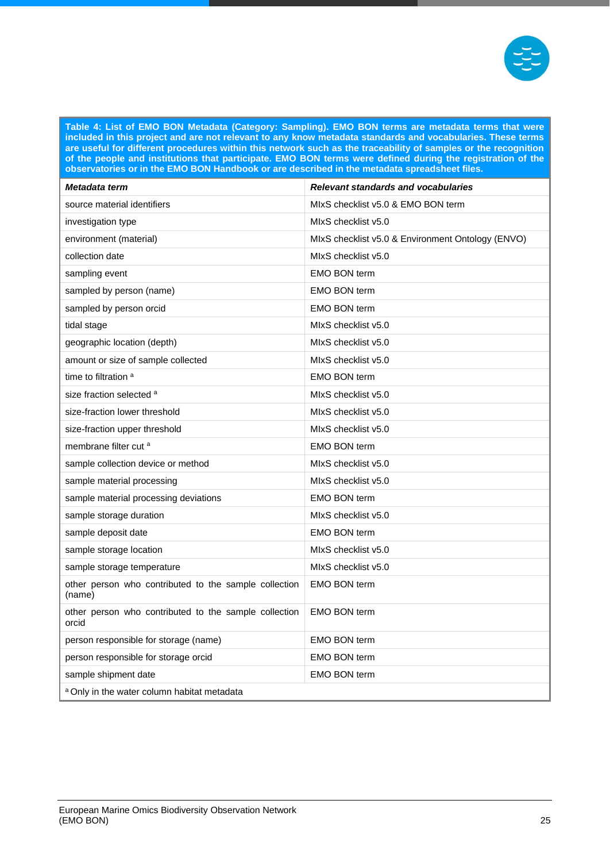

**Table 4: List of EMO BON Metadata (Category: Sampling). EMO BON terms are metadata terms that were included in this project and are not relevant to any know metadata standards and vocabularies. These terms are useful for different procedures within this network such as the traceability of samples or the recognition of the people and institutions that participate. EMO BON terms were defined during the registration of the observatories or in the EMO BON Handbook or are described in the metadata spreadsheet files.**

| Metadata term                                                   | Relevant standards and vocabularies               |  |
|-----------------------------------------------------------------|---------------------------------------------------|--|
| source material identifiers                                     | MIxS checklist v5.0 & EMO BON term                |  |
| investigation type                                              | MIxS checklist v5.0                               |  |
| environment (material)                                          | MIxS checklist v5.0 & Environment Ontology (ENVO) |  |
| collection date                                                 | MIxS checklist v5.0                               |  |
| sampling event                                                  | <b>EMO BON term</b>                               |  |
| sampled by person (name)                                        | <b>EMO BON term</b>                               |  |
| sampled by person orcid                                         | <b>EMO BON term</b>                               |  |
| tidal stage                                                     | MIxS checklist v5.0                               |  |
| geographic location (depth)                                     | MIxS checklist v5.0                               |  |
| amount or size of sample collected                              | MIxS checklist v5.0                               |  |
| time to filtration <sup>a</sup>                                 | <b>EMO BON term</b>                               |  |
| size fraction selected a                                        | MIxS checklist v5.0                               |  |
| size-fraction lower threshold                                   | MIxS checklist v5.0                               |  |
| size-fraction upper threshold                                   | MIxS checklist v5.0                               |  |
| membrane filter cut <sup>a</sup>                                | <b>EMO BON term</b>                               |  |
| sample collection device or method                              | MIxS checklist v5.0                               |  |
| sample material processing                                      | MIxS checklist v5.0                               |  |
| sample material processing deviations                           | <b>EMO BON term</b>                               |  |
| sample storage duration                                         | MIxS checklist v5.0                               |  |
| sample deposit date                                             | <b>EMO BON term</b>                               |  |
| sample storage location                                         | MIxS checklist v5.0                               |  |
| sample storage temperature                                      | MIxS checklist v5.0                               |  |
| other person who contributed to the sample collection<br>(name) | <b>EMO BON term</b>                               |  |
| other person who contributed to the sample collection<br>orcid  | <b>EMO BON term</b>                               |  |
| person responsible for storage (name)                           | <b>EMO BON term</b>                               |  |
| person responsible for storage orcid                            | <b>EMO BON term</b>                               |  |
| sample shipment date                                            | <b>EMO BON term</b>                               |  |
| <sup>a</sup> Only in the water column habitat metadata          |                                                   |  |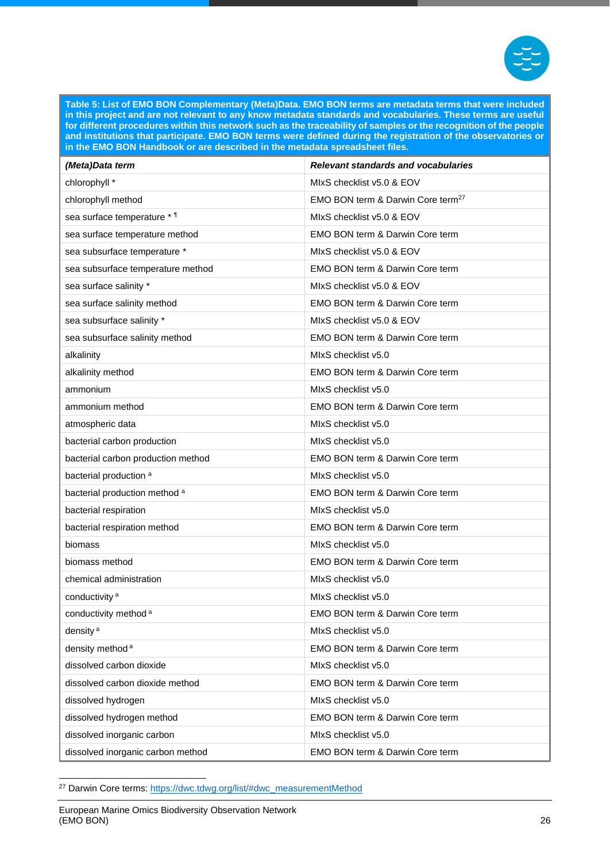

<span id="page-26-0"></span>**Table 5: List of EMO BON Complementary (Meta)Data. EMO BON terms are metadata terms that were included in this project and are not relevant to any know metadata standards and vocabularies. These terms are useful for different procedures within this network such as the traceability of samples or the recognition of the people and institutions that participate. EMO BON terms were defined during the registration of the observatories or in the EMO BON Handbook or are described in the metadata spreadsheet files.**

| (Meta)Data term                    | <b>Relevant standards and vocabularies</b>    |
|------------------------------------|-----------------------------------------------|
| chlorophyll *                      | MIxS checklist v5.0 & EOV                     |
| chlorophyll method                 | EMO BON term & Darwin Core term <sup>27</sup> |
| sea surface temperature * 1        | MIxS checklist v5.0 & EOV                     |
| sea surface temperature method     | EMO BON term & Darwin Core term               |
| sea subsurface temperature *       | MIxS checklist v5.0 & EOV                     |
| sea subsurface temperature method  | EMO BON term & Darwin Core term               |
| sea surface salinity *             | MIxS checklist v5.0 & EOV                     |
| sea surface salinity method        | EMO BON term & Darwin Core term               |
| sea subsurface salinity *          | MIxS checklist v5.0 & EOV                     |
| sea subsurface salinity method     | <b>EMO BON term &amp; Darwin Core term</b>    |
| alkalinity                         | MIxS checklist v5.0                           |
| alkalinity method                  | EMO BON term & Darwin Core term               |
| ammonium                           | MIxS checklist v5.0                           |
| ammonium method                    | EMO BON term & Darwin Core term               |
| atmospheric data                   | MIxS checklist v5.0                           |
| bacterial carbon production        | MIxS checklist v5.0                           |
| bacterial carbon production method | <b>EMO BON term &amp; Darwin Core term</b>    |
| bacterial production <sup>a</sup>  | MIxS checklist v5.0                           |
| bacterial production method a      | <b>EMO BON term &amp; Darwin Core term</b>    |
| bacterial respiration              | MIxS checklist v5.0                           |
| bacterial respiration method       | EMO BON term & Darwin Core term               |
| biomass                            | MIxS checklist v5.0                           |
| biomass method                     | EMO BON term & Darwin Core term               |
| chemical administration            | MIxS checklist v5.0                           |
| conductivity <sup>a</sup>          | MIxS checklist v5.0                           |
| conductivity method <sup>a</sup>   | EMO BON term & Darwin Core term               |
| density <sup>a</sup>               | MIxS checklist v5.0                           |
| density method <sup>a</sup>        | EMO BON term & Darwin Core term               |
| dissolved carbon dioxide           | MIxS checklist v5.0                           |
| dissolved carbon dioxide method    | EMO BON term & Darwin Core term               |
| dissolved hydrogen                 | MIxS checklist v5.0                           |
| dissolved hydrogen method          | EMO BON term & Darwin Core term               |
| dissolved inorganic carbon         | MIxS checklist v5.0                           |
| dissolved inorganic carbon method  | EMO BON term & Darwin Core term               |

<sup>&</sup>lt;sup>27</sup> Darwin Core terms: [https://dwc.tdwg.org/list/#dwc\\_measurementMethod](https://dwc.tdwg.org/list/#dwc_measurementMethod)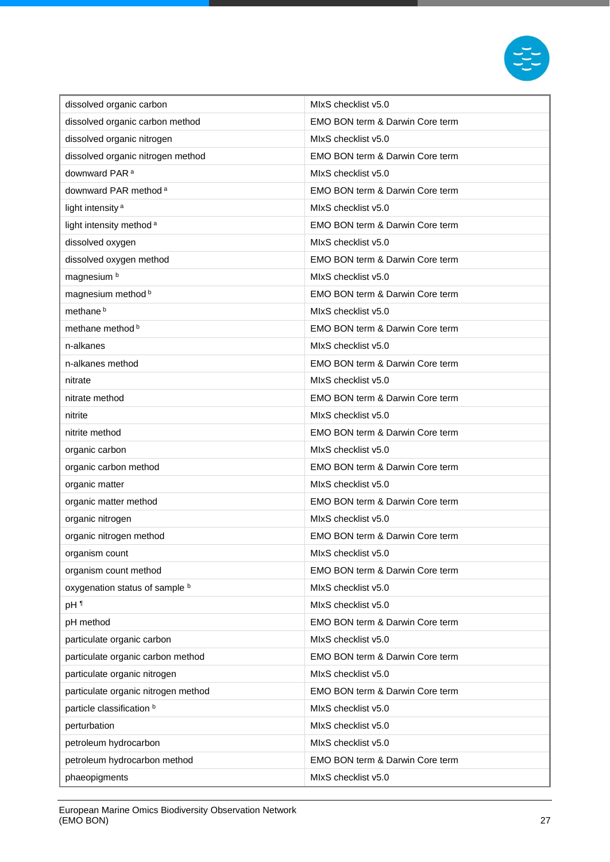

| dissolved organic carbon            | MIxS checklist v5.0             |
|-------------------------------------|---------------------------------|
| dissolved organic carbon method     | EMO BON term & Darwin Core term |
| dissolved organic nitrogen          | MIxS checklist v5.0             |
| dissolved organic nitrogen method   | EMO BON term & Darwin Core term |
| downward PAR <sup>a</sup>           | MIxS checklist v5.0             |
| downward PAR method <sup>a</sup>    | EMO BON term & Darwin Core term |
| light intensity <sup>a</sup>        | MIxS checklist v5.0             |
| light intensity method <sup>a</sup> | EMO BON term & Darwin Core term |
| dissolved oxygen                    | MIxS checklist v5.0             |
| dissolved oxygen method             | EMO BON term & Darwin Core term |
| magnesium <sup>b</sup>              | MIxS checklist v5.0             |
| magnesium method b                  | EMO BON term & Darwin Core term |
| methane <sup>b</sup>                | MIxS checklist v5.0             |
| methane method b                    | EMO BON term & Darwin Core term |
| n-alkanes                           | MIxS checklist v5.0             |
| n-alkanes method                    | EMO BON term & Darwin Core term |
| nitrate                             | MIxS checklist v5.0             |
| nitrate method                      | EMO BON term & Darwin Core term |
| nitrite                             | MIxS checklist v5.0             |
| nitrite method                      | EMO BON term & Darwin Core term |
| organic carbon                      | MIxS checklist v5.0             |
| organic carbon method               | EMO BON term & Darwin Core term |
| organic matter                      | MIxS checklist v5.0             |
| organic matter method               | EMO BON term & Darwin Core term |
| organic nitrogen                    | MIxS checklist v5.0             |
| organic nitrogen method             | EMO BON term & Darwin Core term |
| organism count                      | MIxS checklist v5.0             |
| organism count method               | EMO BON term & Darwin Core term |
| oxygenation status of sample b      | MIxS checklist v5.0             |
| pH <sup>1</sup>                     | MIxS checklist v5.0             |
| pH method                           | EMO BON term & Darwin Core term |
| particulate organic carbon          | MIxS checklist v5.0             |
| particulate organic carbon method   | EMO BON term & Darwin Core term |
| particulate organic nitrogen        | MIxS checklist v5.0             |
| particulate organic nitrogen method | EMO BON term & Darwin Core term |
| particle classification b           | MIxS checklist v5.0             |
| perturbation                        | MIxS checklist v5.0             |
| petroleum hydrocarbon               | MIxS checklist v5.0             |
| petroleum hydrocarbon method        | EMO BON term & Darwin Core term |
| phaeopigments                       | MIxS checklist v5.0             |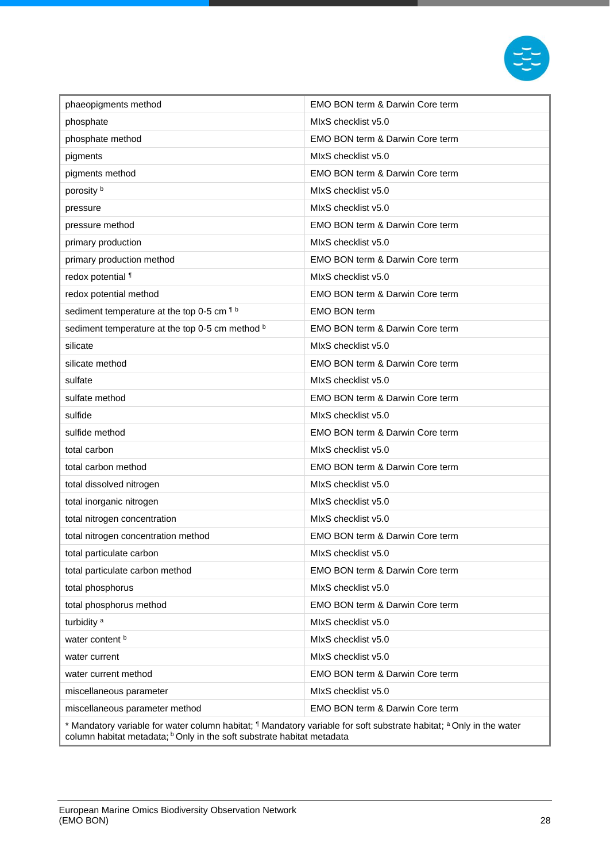

| phaeopigments method                                                                                                                                                                                                           | <b>EMO BON term &amp; Darwin Core term</b> |
|--------------------------------------------------------------------------------------------------------------------------------------------------------------------------------------------------------------------------------|--------------------------------------------|
| phosphate                                                                                                                                                                                                                      | MIxS checklist v5.0                        |
| phosphate method                                                                                                                                                                                                               | EMO BON term & Darwin Core term            |
| pigments                                                                                                                                                                                                                       | MIxS checklist v5.0                        |
| pigments method                                                                                                                                                                                                                | EMO BON term & Darwin Core term            |
| porosity b                                                                                                                                                                                                                     | MIxS checklist v5.0                        |
| pressure                                                                                                                                                                                                                       | MIxS checklist v5.0                        |
| pressure method                                                                                                                                                                                                                | EMO BON term & Darwin Core term            |
| primary production                                                                                                                                                                                                             | MIxS checklist v5.0                        |
| primary production method                                                                                                                                                                                                      | EMO BON term & Darwin Core term            |
| redox potential 1                                                                                                                                                                                                              | MIxS checklist v5.0                        |
| redox potential method                                                                                                                                                                                                         | EMO BON term & Darwin Core term            |
| sediment temperature at the top 0-5 cm 1 b                                                                                                                                                                                     | <b>EMO BON term</b>                        |
| sediment temperature at the top 0-5 cm method b                                                                                                                                                                                | EMO BON term & Darwin Core term            |
| silicate                                                                                                                                                                                                                       | MIxS checklist v5.0                        |
| silicate method                                                                                                                                                                                                                | EMO BON term & Darwin Core term            |
| sulfate                                                                                                                                                                                                                        | MIxS checklist v5.0                        |
| sulfate method                                                                                                                                                                                                                 | EMO BON term & Darwin Core term            |
| sulfide                                                                                                                                                                                                                        | MIxS checklist v5.0                        |
| sulfide method                                                                                                                                                                                                                 | EMO BON term & Darwin Core term            |
| total carbon                                                                                                                                                                                                                   | MIxS checklist v5.0                        |
| total carbon method                                                                                                                                                                                                            | EMO BON term & Darwin Core term            |
| total dissolved nitrogen                                                                                                                                                                                                       | MIxS checklist v5.0                        |
| total inorganic nitrogen                                                                                                                                                                                                       | MIxS checklist v5.0                        |
| total nitrogen concentration                                                                                                                                                                                                   | MIxS checklist v5.0                        |
| total nitrogen concentration method                                                                                                                                                                                            | EMO BON term & Darwin Core term            |
| total particulate carbon                                                                                                                                                                                                       | MIxS checklist v5.0                        |
| total particulate carbon method                                                                                                                                                                                                | EMO BON term & Darwin Core term            |
| total phosphorus                                                                                                                                                                                                               | MIxS checklist v5.0                        |
| total phosphorus method                                                                                                                                                                                                        | EMO BON term & Darwin Core term            |
| turbidity <sup>a</sup>                                                                                                                                                                                                         | MIxS checklist v5.0                        |
| water content b                                                                                                                                                                                                                | MIxS checklist v5.0                        |
| water current                                                                                                                                                                                                                  | MIxS checklist v5.0                        |
| water current method                                                                                                                                                                                                           | EMO BON term & Darwin Core term            |
| miscellaneous parameter                                                                                                                                                                                                        | MIxS checklist v5.0                        |
| miscellaneous parameter method                                                                                                                                                                                                 | EMO BON term & Darwin Core term            |
| * Mandatory variable for water column habitat; <sup>1</sup> Mandatory variable for soft substrate habitat; <sup>a</sup> Only in the water<br>column habitat metadata; <sup>b</sup> Only in the soft substrate habitat metadata |                                            |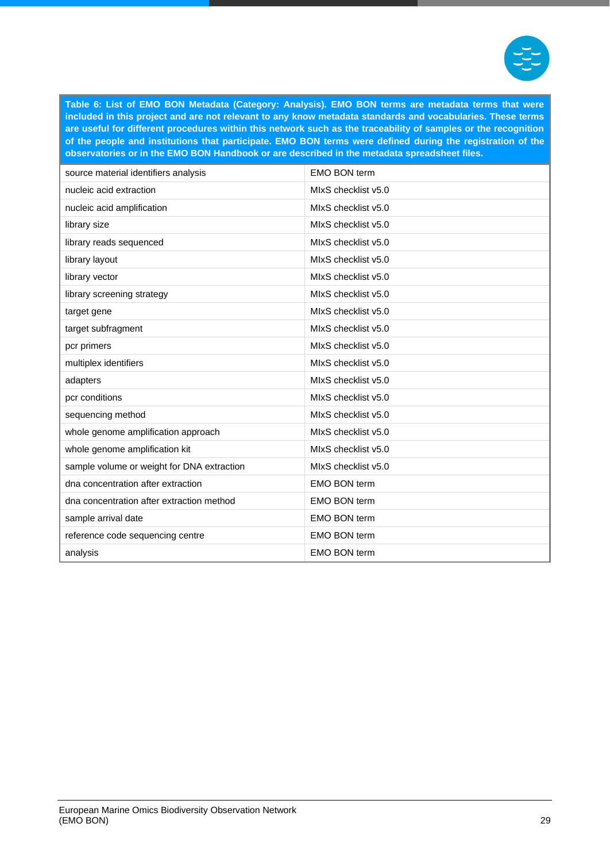

**Table 6: List of EMO BON Metadata (Category: Analysis). EMO BON terms are metadata terms that were included in this project and are not relevant to any know metadata standards and vocabularies. These terms are useful for different procedures within this network such as the traceability of samples or the recognition of the people and institutions that participate. EMO BON terms were defined during the registration of the observatories or in the EMO BON Handbook or are described in the metadata spreadsheet files.**

| source material identifiers analysis       | <b>EMO BON term</b> |
|--------------------------------------------|---------------------|
| nucleic acid extraction                    | MIxS checklist v5.0 |
| nucleic acid amplification                 | MIxS checklist v5.0 |
| library size                               | MIxS checklist v5.0 |
| library reads sequenced                    | MIxS checklist v5.0 |
| library layout                             | MIxS checklist v5.0 |
| library vector                             | MIxS checklist v5.0 |
| library screening strategy                 | MIxS checklist v5.0 |
| target gene                                | MIxS checklist v5.0 |
| target subfragment                         | MIxS checklist v5.0 |
| pcr primers                                | MIxS checklist v5.0 |
| multiplex identifiers                      | MIxS checklist v5.0 |
| adapters                                   | MIxS checklist v5.0 |
| pcr conditions                             | MIxS checklist v5.0 |
| sequencing method                          | MIxS checklist v5.0 |
| whole genome amplification approach        | MIxS checklist v5.0 |
| whole genome amplification kit             | MIxS checklist v5.0 |
| sample volume or weight for DNA extraction | MIxS checklist v5.0 |
| dna concentration after extraction         | <b>EMO BON term</b> |
| dna concentration after extraction method  | <b>EMO BON term</b> |
| sample arrival date                        | <b>EMO BON term</b> |
| reference code sequencing centre           | <b>EMO BON term</b> |
| analysis                                   | <b>EMO BON term</b> |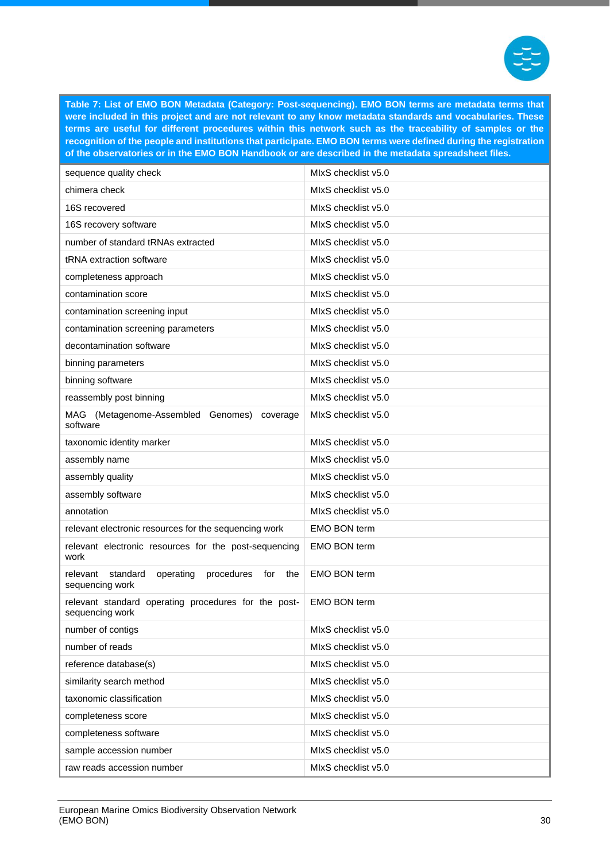

<span id="page-30-0"></span>**Table 7: List of EMO BON Metadata (Category: Post-sequencing). EMO BON terms are metadata terms that were included in this project and are not relevant to any know metadata standards and vocabularies. These terms are useful for different procedures within this network such as the traceability of samples or the recognition of the people and institutions that participate. EMO BON terms were defined during the registration of the observatories or in the EMO BON Handbook or are described in the metadata spreadsheet files.**

| sequence quality check                                                           | MIxS checklist v5.0 |
|----------------------------------------------------------------------------------|---------------------|
| chimera check                                                                    | MIxS checklist v5.0 |
| 16S recovered                                                                    | MIxS checklist v5.0 |
| 16S recovery software                                                            | MIxS checklist v5.0 |
| number of standard tRNAs extracted                                               | MIxS checklist v5.0 |
| tRNA extraction software                                                         | MIxS checklist v5.0 |
| completeness approach                                                            | MIxS checklist v5.0 |
| contamination score                                                              | MIxS checklist v5.0 |
| contamination screening input                                                    | MIxS checklist v5.0 |
| contamination screening parameters                                               | MIxS checklist v5.0 |
| decontamination software                                                         | MIxS checklist v5.0 |
| binning parameters                                                               | MIxS checklist v5.0 |
| binning software                                                                 | MIxS checklist v5.0 |
| reassembly post binning                                                          | MIxS checklist v5.0 |
| (Metagenome-Assembled Genomes)<br>MAG<br>coverage<br>software                    | MIxS checklist v5.0 |
| taxonomic identity marker                                                        | MIxS checklist v5.0 |
| assembly name                                                                    | MIxS checklist v5.0 |
| assembly quality                                                                 | MIxS checklist v5.0 |
| assembly software                                                                | MIxS checklist v5.0 |
| annotation                                                                       | MIxS checklist v5.0 |
| relevant electronic resources for the sequencing work                            | <b>EMO BON term</b> |
| relevant electronic resources for the post-sequencing<br>work                    | <b>EMO BON term</b> |
| relevant<br>standard<br>operating<br>procedures<br>for<br>the<br>sequencing work | <b>EMO BON term</b> |
| relevant standard operating procedures for the post-<br>sequencing work          | <b>EMO BON term</b> |
| number of contigs                                                                | MIxS checklist v5.0 |
| number of reads                                                                  | MIxS checklist v5.0 |
| reference database(s)                                                            | MIxS checklist v5.0 |
| similarity search method                                                         | MIxS checklist v5.0 |
| taxonomic classification                                                         | MIxS checklist v5.0 |
| completeness score                                                               | MIxS checklist v5.0 |
| completeness software                                                            | MIxS checklist v5.0 |
| sample accession number                                                          | MIxS checklist v5.0 |
| raw reads accession number                                                       | MIxS checklist v5.0 |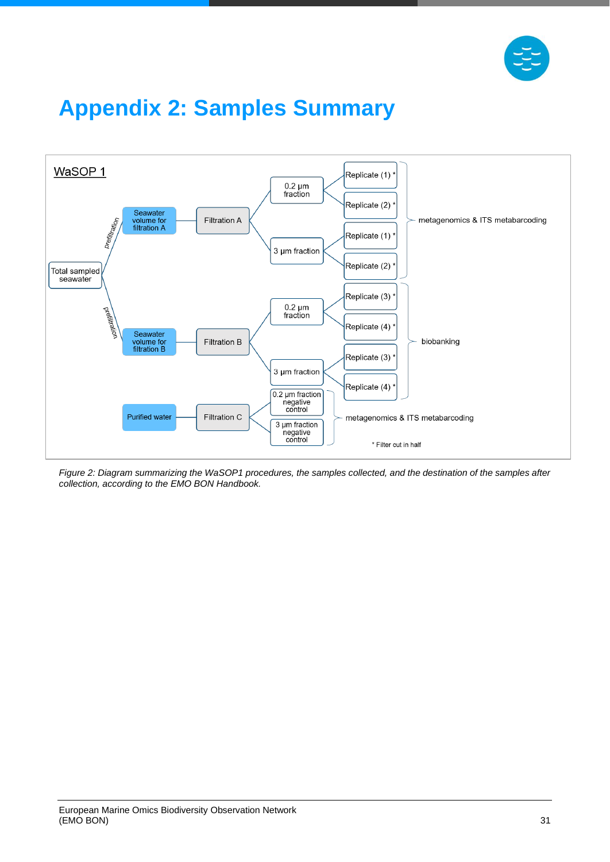

# <span id="page-31-0"></span>**Appendix 2: Samples Summary**



*Figure 2: Diagram summarizing the WaSOP1 procedures, the samples collected, and the destination of the samples after collection, according to the EMO BON Handbook.*